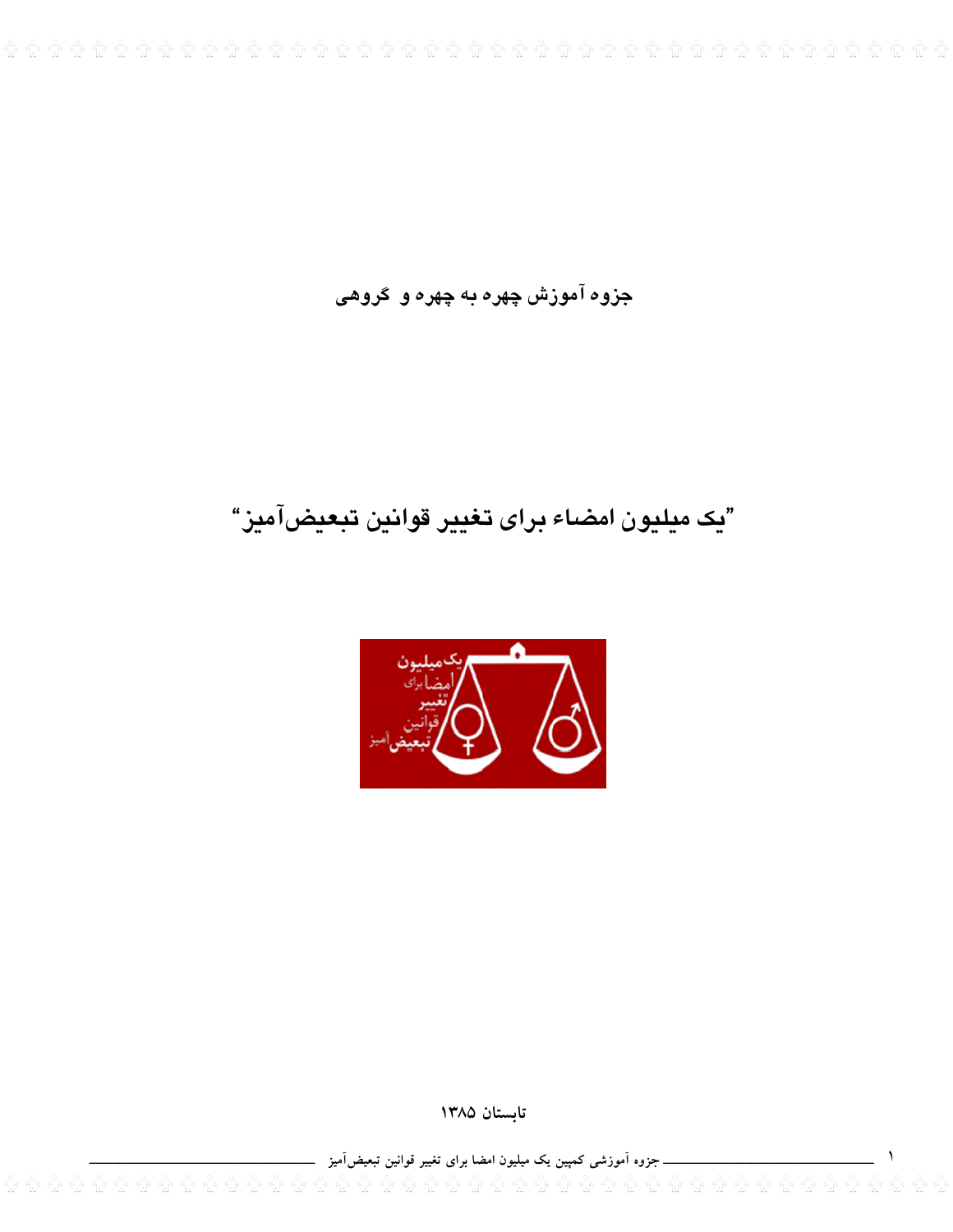جزوه آموزش چهره به چهره و گروهی

# "يک ميليون امضاء براي تغيير قوانين تبعيضآميز"



تابستان ١٣٨٥

\_ جزوہ آموزشی کمپین یک میلیون امضا برای تغییر قوانین تبعیضآمیز ۔

 $\hat{u}$   $\hat{u}$   $\hat{u}$   $\hat{u}$   $\hat{u}$   $\hat{u}$   $\hat{u}$   $\hat{u}$   $\hat{u}$   $\hat{u}$   $\hat{u}$   $\hat{u}$   $\hat{u}$   $\hat{u}$   $\hat{u}$   $\hat{u}$   $\hat{u}$   $\hat{u}$   $\hat{u}$   $\hat{u}$   $\hat{u}$   $\hat{u}$   $\hat{u}$   $\hat{u}$   $\hat{u}$   $\hat{u}$   $\hat{u}$   $\hat{u$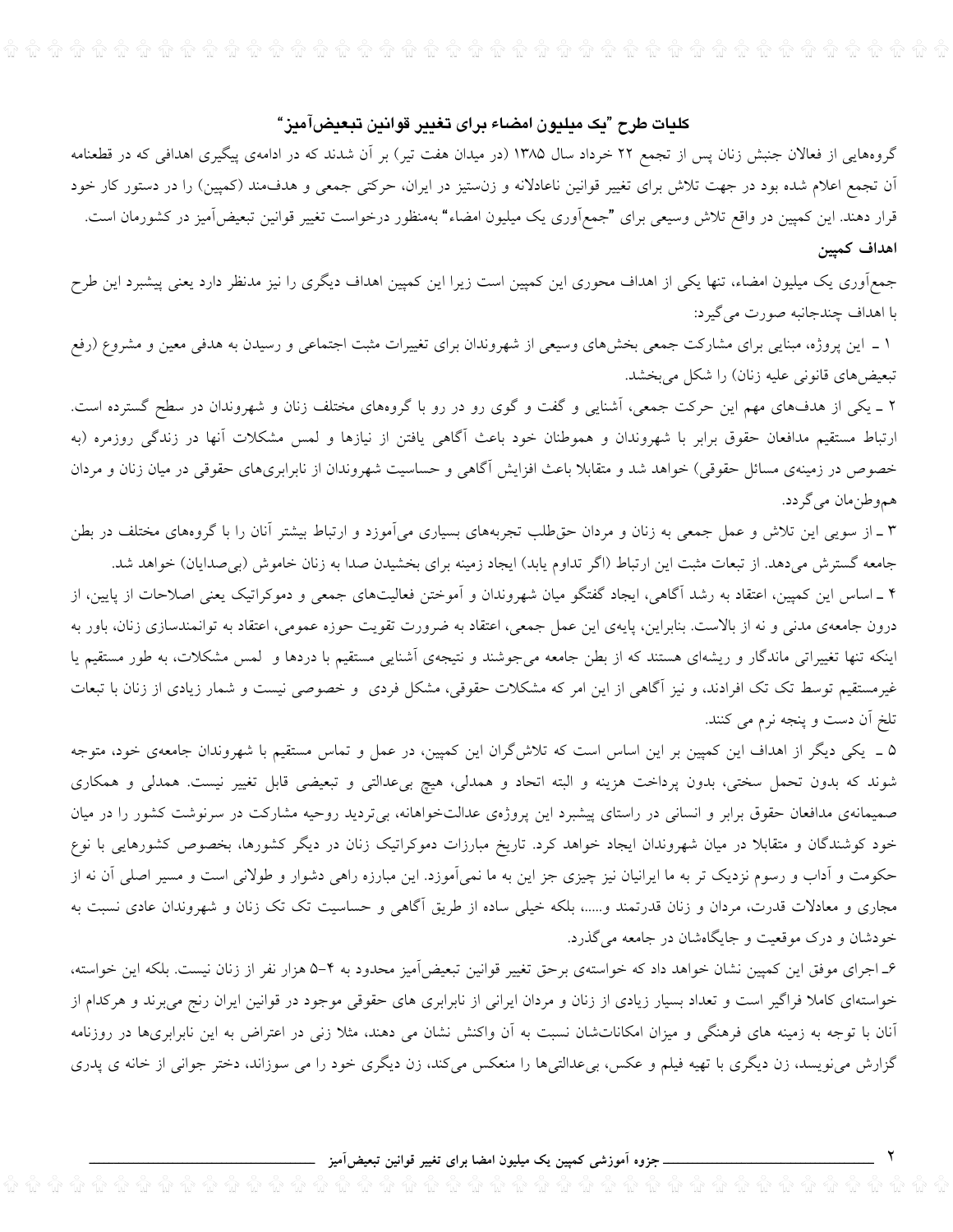#### كليات طرح "يک ميليون امضاء براي تغيير قوانين تبعيضآميز"

گروههایی از فعالان جنبش زنان پس از تجمع ۲۲ خرداد سال ۱۳۸۵ (در میدان هفت تیر) بر آن شدند که در ادامهی پیگیری اهدافی که در قطعنامه آن تجمع اعلام شده بود در جهت تلاش برای تغییر قوانین ناعادلانه و زنستیز در ایران، حرکتی جمعی و هدفءمند (کمپین) را در دستور کار خود قرار دهند. این کمپین در واقع تلاش وسیعی برای "جمع[وری یک میلیون امضاء" بهمنظور درخواست تغییر قوانین تبعیضآمیز در کشورمان است. اهداف كميين

جمعآوری یک میلیون امضاء، تنها یکی از اهداف محوری این کمپین است زیرا این کمپین اهداف دیگری را نیز مدنظر دارد یعنی پیشبرد این طرح با اهداف چندجانبه صورت می گیرد:

۱ ـ این پروژه، مبنایی برای مشارکت جمعی بخشهای وسیعی از شهروندان برای تغییرات مثبت اجتماعی و رسیدن به هدفی معین و مشروع (رفع تبعیضهای قانونی علیه زنان) را شکل میبخشد.

۲ ـ یکی از هدفهای مهم این حرکت جمعی، آشنایی و گفت و گوی رو در رو با گروههای مختلف زنان و شهروندان در سطح گسترده است. ارتباط مستقیم مدافعان حقوق برابر با شهروندان و هموطنان خود باعث آگاهی یافتن از نیازها و لمس مشکلات آنها در زندگی روزمره (به خصوص در زمینهی مسائل حقوقی) خواهد شد و متقابلا باعث افزایش آگاهی و حساسیت شهروندان از نابرابریهای حقوقی در میان زنان و مردان هموطنِمان مي گردد.

۳ ـ از سویی این تلاش و عمل جمعی به زنان و مردان حقطلب تجربههای بسیاری میآموزد و ارتباط بیشتر آنان را با گروههای مختلف در بطن جامعه گسترش میدهد. از تبعات مثبت این ارتباط (اگر تداوم یابد) ایجاد زمینه برای بخشیدن صدا به زنان خاموش (بیصدایان) خواهد شد.

۴ ـ اساس این کمپین، اعتقاد به رشد آگاهی، ایجاد گفتگو میان شهروندان و آموختن فعالیتهای جمعی و دموکراتیک یعنی اصلاحات از پایین، از درون جامعهی مدنی و نه از بالاست. بنابراین، پایهی این عمل جمعی، اعتقاد به ضرورت تقویت حوزه عمومی، اعتقاد به توانمندسازی زنان، باور به اینکه تنها تغییراتی ماندگار و ریشهای هستند که از بطن جامعه میجوشند و نتیجهی آشنایی مستقیم با دردها و لمس مشکلات، به طور مستقیم یا غیرمستقیم توسط تک تک افرادند، و نیز آگاهی از این امر که مشکلات حقوقی، مشکل فردی و خصوصی نیست و شمار زیادی از زنان با تبعات تلخ آن دست و پنجه نرم می کنند.

۵ \_ یکی دیگر از اهداف این کمپین بر این اساس است که تلاش گران این کمپین، در عمل و تماس مستقیم با شهروندان جامعهی خود، متوجه شوند که بدون تحمل سختی، بدون پرداخت هزینه و البته اتحاد و همدلی، هیچ بیعدالتی و تبعیضی قابل تغییر نیست. همدلی و همکاری صمیمانهی مدافعان حقوق برابر و انسانی در راستای پیشبرد این پروژهی عدالتخواهانه، بیتردید روحیه مشارکت در سرنوشت کشور را در میان خود کوشندگان و متقابلا در میان شهروندان ایجاد خواهد کرد. تاریخ مبارزات دموکراتیک زنان در دیگر کشورها، بخصوص کشورهایی با نوع حکومت و آداب و رسوم نزدیک تر به ما ایرانیان نیز چیزی جز این به ما نمیآموزد. این مبارزه راهی دشوار و طولانی است و مسیر اصلی آن نه از مجاری و معادلات قدرت، مردان و زنان قدرتمند و.....، بلکه خیلی ساده از طریق آگاهی و حساسیت تک تک زنان و شهروندان عادی نسبت به خودشان و درک موقعیت و جایگاهشان در جامعه میگذرد.

۶ـ اجرای موفق این کمپین نشان خواهد داد که خواستهی برحق تغییر قوانین تبعیضآمیز محدود به ۴–۵ هزار نفر از زنان نیست. بلکه این خواسته، خواستهای کاملا فراگیر است و تعداد بسیار زیادی از زنان و مردان ایرانی از نابرابری های حقوقی موجود در قوانین ایران رنج میبرند و هرکدام از آنان با توجه به زمینه های فرهنگی و میزان امکاناتشان نسبت به آن واکنش نشان می دهند، مثلا زنی در اعتراض به این نابرابریها در روزنامه گزارش می نویسد، زن دیگری با تهیه فیلم و عکس، بیعدالتیها را منعکس میکند، زن دیگری خود را می سوزاند، دختر جوانی از خانه ی پدری

۔جزوہ آموزشی کمپین یک میلیون امضا برای تغییر قوانین تبعیضآمیز .

 $\mathbf{v}$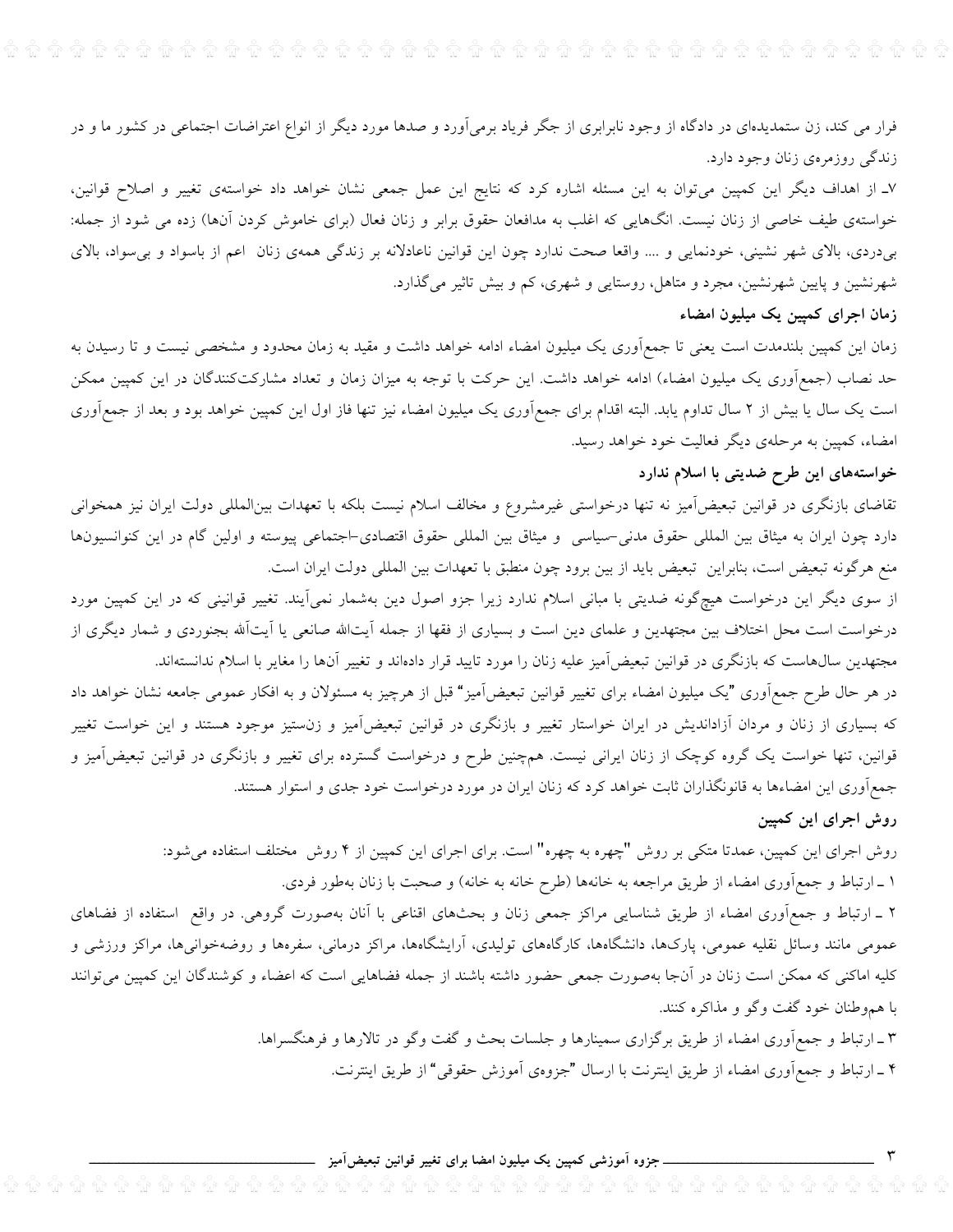فرار می کند، زن ستمدیدهای در دادگاه از وجود نابرابری از جگر فریاد برمیآورد و صدها مورد دیگر از انواع اعتراضات اجتماعی در کشور ما و در زندگی روزمرهی زنان وجود دارد.

۷\_ از اهداف دیگر این کمپین میتوان به این مسئله اشاره کرد که نتایج این عمل جمعی نشان خواهد داد خواستهی تغییر و اصلاح قوانین، خواستهی طیف خاصی از زنان نیست. انگهایی که اغلب به مدافعان حقوق برابر و زنان فعال (برای خاموش کردن آنها) زده می شود از جمله: بیدردی، بالای شهر نشینی، خودنمایی و …. واقعا صحت ندارد چون این قوانین ناعادلانه بر زندگی همهی زنان اعم از باسواد و بی سواد، بالای شهرنشین و پایین شهرنشین، مجرد و متاهل، روستایی و شهری، کم و بیش تاثیر میگذارد.

# زمان اجرای کمپین یک میلیون امضاء

زمان این کمپین بلندمدت است یعنی تا جمعآوری یک میلیون امضاء ادامه خواهد داشت و مقید به زمان محدود و مشخصی نیست و تا رسیدن به حد نصاب (جمع]وری یک میلیون امضاء) ادامه خواهد داشت. این حرکت با توجه به میزان زمان و تعداد مشارکتکنندگان در این کمپین ممکن است یک سال یا بیش از ۲ سال تداوم یابد. البته اقدام برای جمع[وری یک میلیون امضاء نیز تنها فاز اول این کمپین خواهد بود و بعد از جمع]وری امضاء، کمپین به مرحلهی دیگر فعالیت خود خواهد رسید.

# خواستههای این طرح ضدیتی با اسلام ندارد

تقاضای بازنگری در قوانین تبعیضآمیز نه تنها درخواستی غیرمشروع و مخالف اسلام نیست بلکه با تعهدات بینالمللی دولت ایران نیز همخوانی دارد چون ایران به میثاق بین المللی حقوق مدنی-سیاسی و میثاق بین المللی حقوق اقتصادی-اجتماعی پیوسته و اولین گام در این کنوانسیونها منع هرگونه تبعیض است، بنابراین تبعیض باید از بین برود چون منطبق با تعهدات بین المللی دولت ایران است.

از سوی دیگر این درخواست هیچگونه ضدیتی با مبانی اسلام ندارد زیرا جزو اصول دین بهشمار نمیآیند. تغییر قوانینی که در این کمپین مورد درخواست است محل اختلاف بین مجتهدین و علمای دین است و بسیاری از فقها از جمله آیتالله صانعی یا آیتآلله بجنوردی و شمار دیگری از مجتهدین سال&است که بازنگری در قوانین تبعیضآمیز علیه زنان را مورد تایید قرار دادهاند و تغییر آنها را مغایر با اسلام ندانستهاند.

در هر حال طرح جمعهآوری "یک میلیون امضاء برای تغییر قوانین تبعیضآمیز" قبل از هرچیز به مسئولان و به افکار عمومی جامعه نشان خواهد داد که بسیاری از زنان و مردان آزاداندیش در ایران خواستار تغییر و بازنگری در قوانین تبعیضآمیز و زن ستیز موجود هستند و این خواست تغییر قوانین، تنها خواست یک گروه کوچک از زنان ایرانی نیست. همچنین طرح و درخواست گسترده برای تغییر و بازنگری در قوانین تبعیضآمیز و جمع آوری این امضاءها به قانونگذاران ثابت خواهد کرد که زنان ایران در مورد درخواست خود جدی و استوار هستند.

## روش اجرای این کمپین

 $\overline{\phantom{0}}$   $\overline{\phantom{0}}$ 

روش اجرای این کمپین، عمدتا متکی بر روش "چهره به چهره" است. برای اجرای این کمپین از ۴ روش ً مختلف استفاده میشود: ۱ ـ ارتباط و جمع]وری امضاء از طریق مراجعه به خانهها (طرح خانه به خانه) و صحبت با زنان بهطور فردی.

۲ ـ ارتباط و جمع[وری امضاء از طریق شناسایی مراکز جمعی زنان و بحثهای اقناعی با آنان بهصورت گروهی. در واقع استفاده از فضاهای عمومی مانند وسائل نقلیه عمومی، پارکها، دانشگاهها، کارگاههای تولیدی، آرایشگاهها، مراکز درمانی، سفرهها و روضهخوانیها، مراکز ورزشی و کلیه اماکنی که ممکن است زنان در آنجا بهصورت جمعی حضور داشته باشند از جمله فضاهایی است که اعضاء و کوشندگان این کمپین میتوانند با هموطنان خود گفت وگو و مذاکره کنند.

> ۳ ـ ارتباط و جمع]وری امضاء از طریق برگزاری سمینارها و جلسات بحث و گفت وگو در تالارها و فرهنگسراها. ۴ ـ ارتباط و جمع|َوري امضاء از طريق اينترنت با ارسال "جزوهي اَموزش حقوقي" از طريق اينترنت.

\_ جزوہ آموزشی کمپین یک میلیون امضا برای تغییر قوانین تبعیضآمیز ۔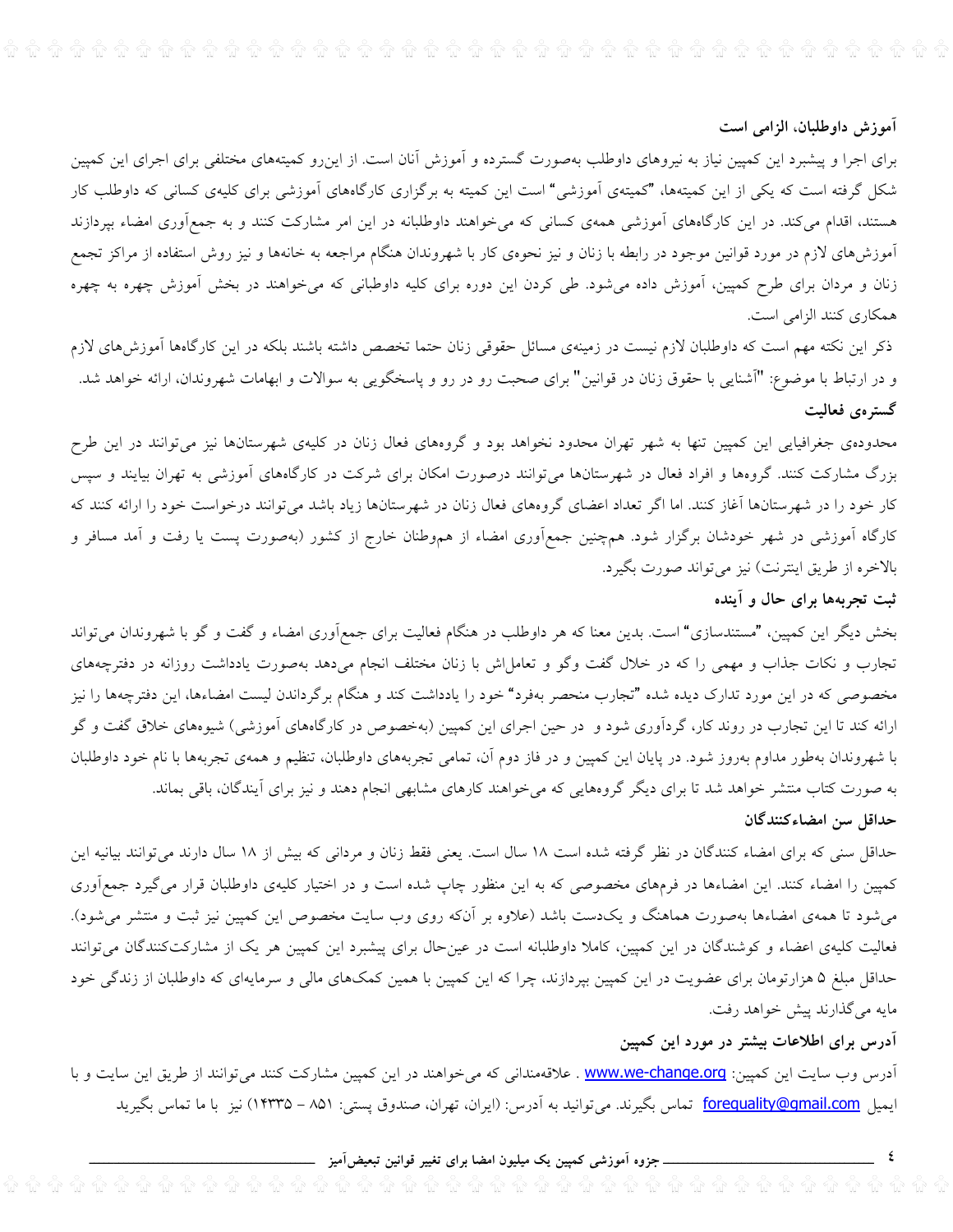# آموزش داوطلبان، الزامی است

برای اجرا و پیشبرد این کمپین نیاز به نیروهای داوطلب بهصورت گسترده و آموزش آنان است. از اینرو کمیتههای مختلفی برای اجرای این کمپین شکل گرفته است که یکی از این کمیتهها، "کمیتهی آموزشی" است این کمیته به برگزاری کارگاههای آموزشی برای کلیهی کسانی که داوطلب کار هستند، اقدام میکند. در این کارگاههای آموزشی همهی کسانی که میخواهند داوطلبانه در این امر مشارکت کنند و به جمعآوری امضاء بپردازند آموزش۵ای لازم در مورد قوانین موجود در رابطه با زنان و نیز نحوهی کار با شهروندان هنگام مراجعه به خانهها و نیز روش استفاده از مراکز تجمع زنان و مردان برای طرح کمپین، آموزش داده میشود. طی کردن این دوره برای کلیه داوطبانی که میخواهند در بخش آموزش چهره به چهره همكاري كنند الزامي است.

ذکر این نکته مهم است که داوطلبان لازم نیست در زمینهی مسائل حقوقی زنان حتما تخصص داشته باشند بلکه در این کارگاهها آموزش۵های لازم و در ارتباط با موضوع: "أشنايي با حقوق زنان در قوانين" براى صحبت رو در رو و پاسخگويي به سوالات و ابهامات شهروندان، ارائه خواهد شد. گسترەي فعاليت

محدودهی جغرافیایی این کمپین تنها به شهر تهران محدود نخواهد بود و گروههای فعال زنان در کلیهی شهرستانها نیز میتوانند در این طرح بزرگ مشارکت کنند. گروهها و افراد فعال در شهرستانها میتوانند درصورت امکان برای شرکت در کارگاههای آموزشی به تهران بیایند و سپس کار خود را در شهرستانها آغاز کنند. اما اگر تعداد اعضای گروههای فعال زنان در شهرستانها زیاد باشد میتوانند درخواست خود را ارائه کنند که کارگاه آموزشی در شهر خودشان برگزار شود. همچنین جمعآوری امضاء از هموطنان خارج از کشور (بهصورت پست یا رفت و آمد مسافر و بالاخره از طريق اينترنت) نيز مي تواند صورت بگيرد.

# ثبت تجربهها برای حال و آینده

بخش دیگر این کمپین، "مستندسازی" است. بدین معنا که هر داوطلب در هنگام فعالیت برای جمع[وری امضاء و گفت و گو با شهروندان میٍتواند تجارب و نکات جذاب و مهمی را که در خلال گفت وگو و تعامل!ش با زنان مختلف انجام میدهد بهصورت یادداشت روزانه در دفترچههای مخصوصی که در این مورد تدارک دیده شده "تجارب منحصر بهفرد" خود را یادداشت کند و هنگام برگرداندن لیست امضاءها، این دفترچهها را نیز ارائه کند تا این تجارب در روند کار، گردآوری شود و در حین اجرای این کمپین (بهخصوص در کارگاههای آموزشی) شیوههای خلاق گفت و گو با شهروندان بهطور مداوم بهروز شود. در پایان این کمپین و در فاز دوم آن، تمامی تجربههای داوطلبان، تنظیم و همهی تجربهها با نام خود داوطلبان به صورت کتاب منتشر خواهد شد تا برای دیگر گروههایی که میخواهند کارهای مشابهی انجام دهند و نیز برای آیندگان، باقی بماند. حداقل سن امضاءكنندگان

حداقل سنی که برای امضاء کنندگان در نظر گرفته شده است ١٨ سال است. یعنی فقط زنان و مردانی که بیش از ١٨ سال دارند می توانند بیانیه این کمپین را امضاء کنند. این امضاءها در فرمهای مخصوصی که به این منظور چاپ شده است و در اختیار کلیهی داوطلبان قرار میگیرد جمعآوری می شود تا همهی امضاءها بهصورت هماهنگ و یکدست باشد (علاوه بر آنکه روی وب سایت مخصوص این کمپین نیز ثبت و منتشر می شود). فعالیت کلیهی اعضاء و کوشندگان در این کمپین، کاملا داوطلبانه است در عینحال برای پیشبرد این کمپین هر یک از مشارکتکنندگان می توانند حداقل مبلغ ۵ هزارتومان برای عضویت در این کمپین بپردازند، چرا که این کمپین با همین کمکهای مالی و سرمایهای که داوطلبان از زندگی خود مايه مي گذارند پيش خواهد رفت.

# آدرس برای اطلاعات بیشتر در مورد این کمپین

آدرس وب سایت این کمپین: www.we-change.org . علاقهمندانی که میخواهند در این کمپین مشارکت کنند میتوانند از طریق این سایت و با ایمیل forequality@gmail.com تماس بگیرند. میتوانید به آدرس: (ایران، تهران، صندوق پستی: ۸۵۱ – ۱۴۳۳۵) نیز با ما تماس بگیرید

جزوه آموزشی کمپین یک میلیون امضا برای تغییر قوانین تبعیضآمیز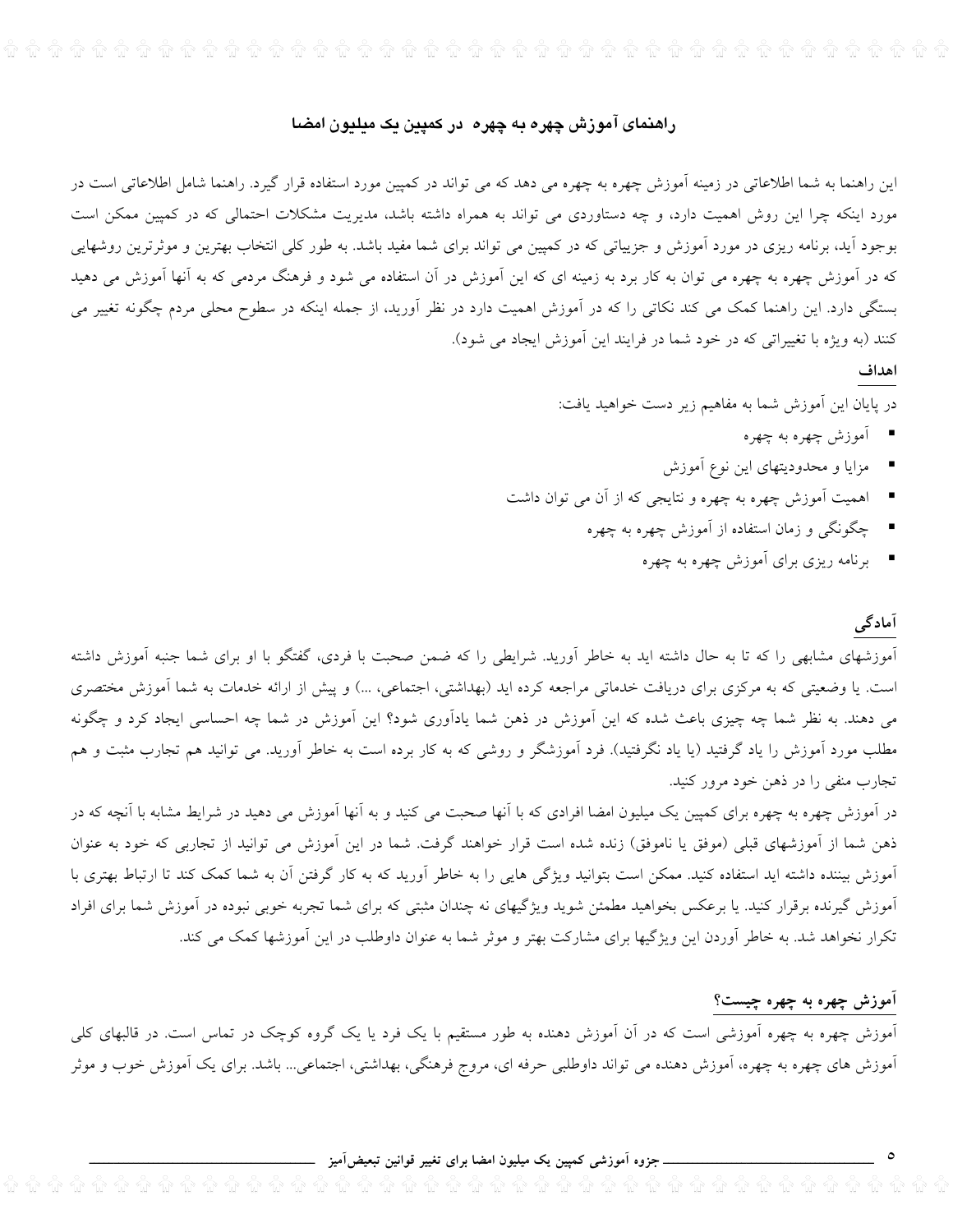# راهنمای آموزش چهره به چهره در کمپین یک میلیون امضا

این راهنما به شما اطلاعاتی در زمینه آموزش چهره به چهره می دهد که می تواند در کمپین مورد استفاده قرار گیرد. راهنما شامل اطلاعاتی است در مورد اینکه چرا این روش اهمیت دارد، و چه دستاوردی می تواند به همراه داشته باشد، مدیریت مشکلات احتمالی که در کمپین ممکن است بوجود آید، برنامه ریزی در مورد آموزش و جزییاتی که در کمپین می تواند برای شما مفید باشد. به طور کلی انتخاب بهترین و موثرترین روشهایی که در آموزش چهره به چهره می توان به کار برد به زمینه ای که این آموزش در آن استفاده می شود و فرهنگ مردمی که به آنها آموزش می دهید بستگی دارد. این راهنما کمک می کند نکاتی را که در آموزش اهمیت دارد در نظر آورید، از جمله اینکه در سطوح محلی مردم چگونه تغییر می کنند (به ویژه با تغییراتی که در خود شما در فرایند این آموزش ایجاد می شود).

#### اهداف

در پایان این آموزش شما به مفاهیم زیر دست خواهید یافت:

- آموزش چهره به چهره
- مزایا و محدودیتهای این نوع آموزش
- اهمیت آموزش چهره به چهره و نتایجی که از آن می توان داشت
	- چگونگی و زمان استفاده از آموزش چهره به چهره
		- \_ برنامه ریزی برای آموزش چهره به چهره

#### آمادگی

آموزشهای مشابهی را که تا به حال داشته اید به خاطر آورید. شرایطی را که ضمن صحبت با فردی، گفتگو با او برای شما جنبه آموزش داشته است. یا وضعیتی که به مرکزی برای دریافت خدماتی مراجعه کرده اید (بهداشتی، اجتماعی، ...) و پیش از ارائه خدمات به شما آموزش مختصری می دهند. به نظر شما چه چیزی باعث شده که این آموزش در ذهن شما یادآوری شود؟ این آموزش در شما چه احساسی ایجاد کرد و چگونه مطلب مورد آموزش را یاد گرفتید (یا یاد نگرفتید). فرد آموزشگر و روشی که به کار برده است به خاطر آورید. می توانید هم تجارب مثبت و هم تجارب منفي را در ذهن خود مرور کنيد.

در آموزش چهره به چهره برای کمپین یک میلیون امضا افرادی که با آنها صحبت می کنید و به آنها آموزش می دهید در شرایط مشابه با آنچه که در ذهن شما از آموزشهای قبلی (موفق یا ناموفق) زنده شده است قرار خواهند گرفت. شما در این آموزش می توانید از تجاربی که خود به عنوان آموزش بیننده داشته اید استفاده کنید. ممکن است بتوانید ویژگی هایی را به خاطر آورید که به کار گرفتن آن به شما کمک کند تا ارتباط بهتری با آموزش گیرنده برقرار کنید. یا برعکس بخواهید مطمئن شوید ویژگیهای نه چندان مثبتی که برای شما تجربه خوبی نبوده در آموزش شما برای افراد تکرار نخواهد شد. به خاطر آوردن این ویژگیها برای مشارکت بهتر و موثر شما به عنوان داوطلب در این آموزشها کمک می کند.

#### اموزش چهره به چهره چیست؟

آموزش چهره به چهره آموزشی است که در آن آموزش دهنده به طور مستقیم با یک فرد یا یک گروه کوچک در تماس است. در قالبهای کلی آموزش های چهره به چهره، آموزش دهنده می تواند داوطلبی حرفه ای، مروج فرهنگی، بهداشتی، اجتماعی... باشد. برای یک آموزش خوب و موثر

\_ جزوہ آموزشی کمپین یک میلیون امضا برای تغییر قوانین تبعیضآمیز <sub>-</sub>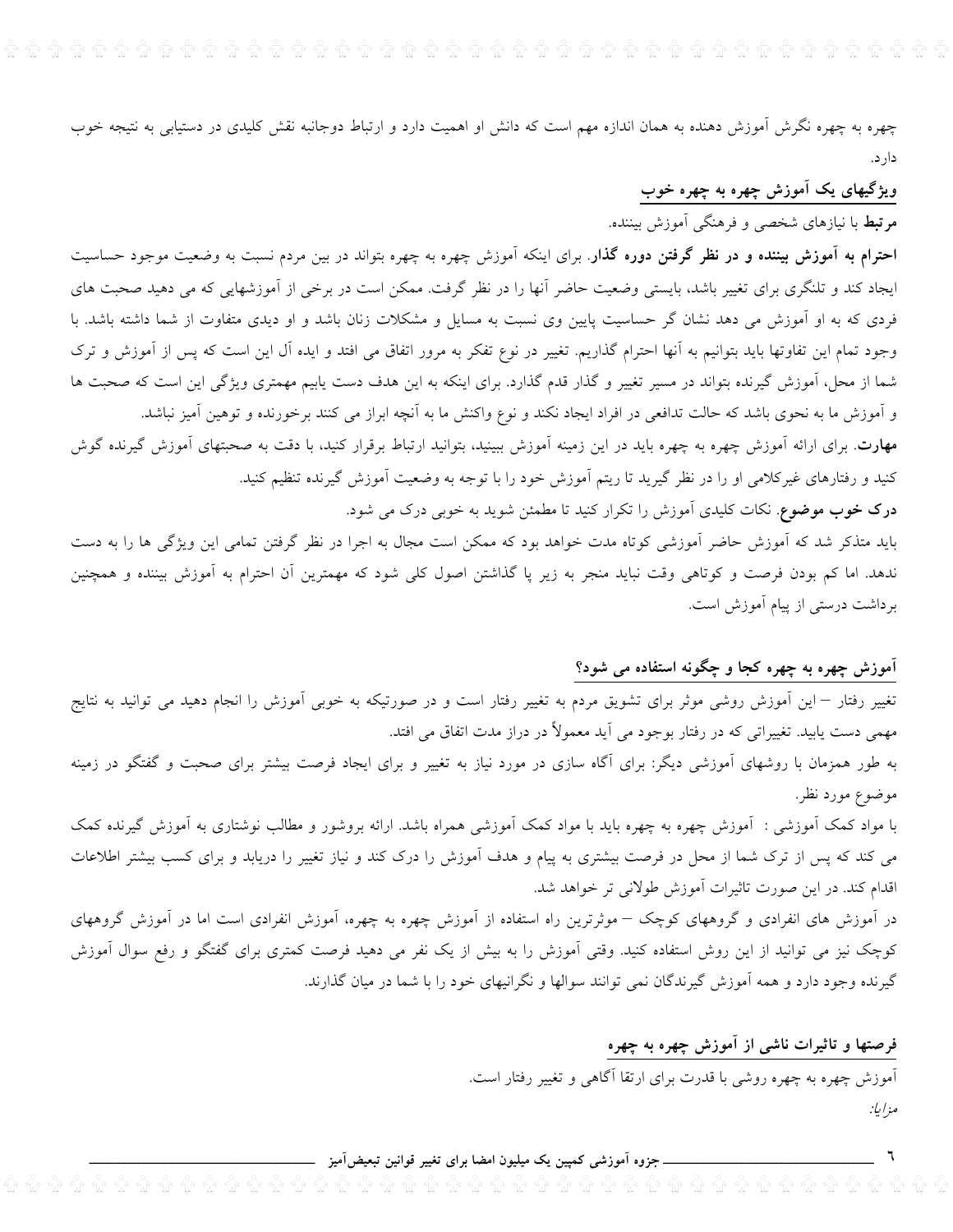چهره به چهره نگرش آموزش دهنده به همان اندازه مهم است که دانش او اهمیت دارد و ارتباط دوجانبه نقش کلیدی در دستیابی به نتیجه خوب دار د.

# ویژگیهای یک اَموزش چهره به چهره خوب **مرتبط** با نیازهای شخصی و فرهنگی آموزش بیننده.

**احترام به آموزش بیننده و در نظر گرفتن دوره گذار**. برای اینکه آموزش چهره به چهره بتواند در بین مردم نسبت به وضعیت موجود حساسیت ایجاد کند و تلنگری برای تغییر باشد، بایستی وضعیت حاضر آنها را در نظر گرفت. ممکن است در برخی از آموزشهایی که می دهید صحبت های فردی که به او آموزش می دهد نشان گر حساسیت پایین وی نسبت به مسایل و مشکلات زنان باشد و او دیدی متفاوت از شما داشته باشد. با وجود تمام این تفاوتها باید بتوانیم به آنها احترام گذاریم. تغییر در نوع تفکر به مرور اتفاق می افتد و ایده آل این است که پس از آموزش و ترک شما از محل، آموزش گیرنده بتواند در مسیر تغییر و گذار قدم گذارد. برای اینکه به این هدف دست یابیم مهمتری ویژگی این است که صحبت ها و آموزش ما به نحوی باشد که حالت تدافعی در افراد ایجاد نکند و نوع واکنش ما به آنچه ابراز می کنند برخورنده و توهین آمیز نباشد. **مهارت**. برای ارائه آموزش چهره به چهره باید در این زمینه آموزش ببینید، بتوانید ارتباط برقرار کنید، با دقت به صحبتهای آموزش گیرنده گوش کنید و رفتارهای غیرکلامی او را در نظر گیرید تا ریتم آموزش خود را با توجه به وضعیت آموزش گیرنده تنظیم کنید.

**درک خوب موضوع**. نکات کلیدی آموزش را تکرار کنید تا مطمئن شوید به خوبی درک می شود.

باید متذکر شد که آموزش حاضر آموزشی کوتاه مدت خواهد بود که ممکن است مجال به اجرا در نظر گرفتن تمامی این ویژگی ها را به دست ندهد. اما کم بودن فرصت و کوتاهی وقت نباید منجر به زیر پا گذاشتن اصول کلی شود که مهمترین آن احترام به آموزش بیننده و همچنین برداشت درستی از پیام آموزش است.

# آموزش چهره به چهره کجا و چگونه استفاده می شود؟

تغییر رفتار – این آموزش روشی موثر برای تشویق مردم به تغییر رفتار است و در صورتیکه به خوبی آموزش را انجام دهید می توانید به نتایج مهمی دست پابید. تغییراتی که در رفتار بوجود می آید معمولاً در دراز مدت اتفاق می افتد.

به طور همزمان با روشهای آموزشی دیگر: برای آگاه سازی در مورد نیاز به تغییر و برای ایجاد فرصت بیشتر برای صحبت و گفتگو در زمینه موضوع مورد نظر.

با مواد کمک آموزشی : آموزش چهره به چهره باید با مواد کمک آموزشی همراه باشد. ارائه بروشور و مطالب نوشتاری به آموزش گیرنده کمک می کند که پس از ترک شما از محل در فرصت بیشتری به پیام و هدف آموزش را درک کند و نیاز تغییر را دریابد و برای کسب بیشتر اطلاعات اقدام کند. در این صورت تاثیرات آموزش طولانی تر خواهد شد.

در آموزش های انفرادی و گروههای کوچک – موثرترین راه استفاده از آموزش چهره به چهره، آموزش انفرادی است اما در آموزش گروههای کوچک نیز می توانید از این روش استفاده کنید. وقتی آموزش را به بیش از یک نفر می دهید فرصت کمتری برای گفتگو و رفع سوال آموزش گیرنده وجود دارد و همه آموزش گیرندگان نمی توانند سوالها و نگرانیهای خود را با شما در میان گذارند.

> فرصتها و تاثیرات ناشی از اموزش چهره به چهره آموزش چهره به چهره روشی با قدرت برای ارتقا آگاهی و تغییر رفتار است. مزاياً:

ـ جزوہ آموزشی کمپین یک میلیون امضا برای تغییر قوانین تبعیض**آمیز** <sub>-</sub>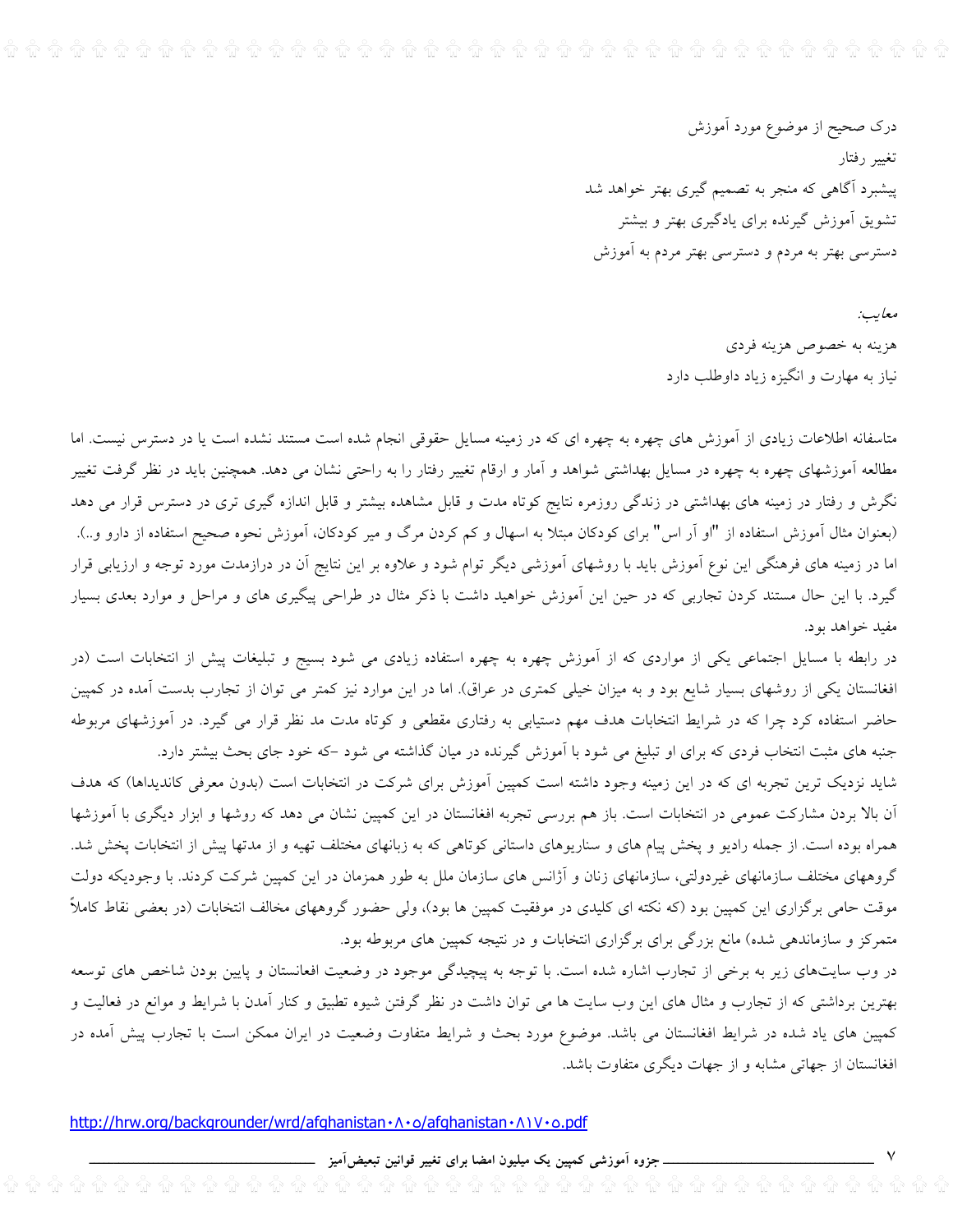درک صحیح از موضوع مورد أموزش تغيير رفتار پیشبرد آگاهی که منجر به تصمیم گیری بهتر خواهد شد تشویق آموزش گیرنده برای یادگیری بهتر و بیشتر دسترسی بهتر به مردم و دسترسی بهتر مردم به آموزش

> معايب: هزينه به خصوص هزينه فردي نیاز به مهارت و انگیزه زیاد داوطلب دارد

متاسفانه اطلاعات زیادی از آموزش های چهره به چهره ای که در زمینه مسایل حقوقی انجام شده است مستند نشده است یا در دسترس نیست. اما مطالعه آموزشهای چهره به چهره در مسایل بهداشتی شواهد و آمار و ارقام تغییر رفتار را به راحتی نشان می دهد. همچنین باید در نظر گرفت تغییر نگرش و رفتار در زمینه های بهداشتی در زندگی روزمره نتایج کوتاه مدت و قابل مشاهده بیشتر و قابل اندازه گیری تری در دسترس قرار می دهد (بعنوان مثال آموزش استفاده از "او آر اس" برای کودکان مبتلا به اسهال و کم کردن مرگ و میر کودکان، آموزش نحوه صحیح استفاده از دارو و..). اما در زمینه های فرهنگی این نوع آموزش باید با روشهای آموزشی دیگر توام شود و علاوه بر این نتایج آن در درازمدت مورد توجه و ارزیابی قرار گیرد. با این حال مستند کردن تجاربی که در حین این آموزش خواهید داشت با ذکر مثال در طراحی پیگیری های و مراحل و موارد بعدی بسیار مفيد خواهد بود.

در رابطه با مسایل اجتماعی یکی از مواردی که از آموزش چهره به چهره استفاده زیادی می شود بسیج و تبلیغات پیش از انتخابات است (در افغانستان یکی از روشهای بسیار شایع بود و به میزان خیلی کمتری در عراق). اما در این موارد نیز کمتر می توان از تجارب بدست آمده در کمپین حاضر استفاده کرد چرا که در شرایط انتخابات هدف مهم دستیابی به رفتاری مقطعی و کوتاه مدت مد نظر قرار می گیرد. در آموزشهای مربوطه جنبه های مثبت انتخاب فردی که برای او تبلیغ می شود با آموزش گیرنده در میان گذاشته می شود –که خود جای بحث بیشتر دارد.

شاید نزدیک ترین تجربه ای که در این زمینه وجود داشته است کمپین آموزش برای شرکت در انتخابات است (بدون معرفی کاندیداها) که هدف آن بالا بردن مشارکت عمومی در انتخابات است. باز هم بررسی تجربه افغانستان در این کمپین نشان می دهد که روشها و ابزار دیگری با آموزشها همراه بوده است. از جمله رادیو و پخش پیام های و سناریوهای داستانی کوتاهی که به زبانهای مختلف تهیه و از مدتها پیش از انتخابات پخش شد. گروههای مختلف سازمانهای غیردولتی، سازمانهای زنان و آژانس های سازمان ملل به طور همزمان در این کمپین شرکت کردند. با وجودیکه دولت موقت حامی برگزاری این کمپین بود (که نکته ای کلیدی در موفقیت کمپین ها بود)، ولی حضور گروههای مخالف انتخابات (در بعضی نقاط کاملاً متمرکز و سازماندهی شده) مانع بزرگی برای برگزاری انتخابات و در نتیجه کمپین های مربوطه بود.

در وب سایتهای زیر به برخی از تجارب اشاره شده است. با توجه به پیچیدگی موجود در وضعیت افعانستان و پایین بودن شاخص های توسعه بهترین برداشتی که از تجارب و مثال های این وب سایت ها می توان داشت در نظر گرفتن شیوه تطبیق و کنار آمدن با شرایط و موانع در فعالیت و کمپین های یاد شده در شرایط افغانستان می باشد. موضوع مورد بحث و شرایط متفاوت وضعیت در ایران ممکن است با تجارب پیش آمده در افغانستان از جهاتی مشابه و از جهات دیگری متفاوت باشد.

http://hrw.org/backgrounder/wrd/afghanistan · A · o/afghanistan · A I V · o.pdf

۔جزوہ اَموزشی کمپین یک میلیون امضا برای تغییر قوانین تبعیضlَمیز \_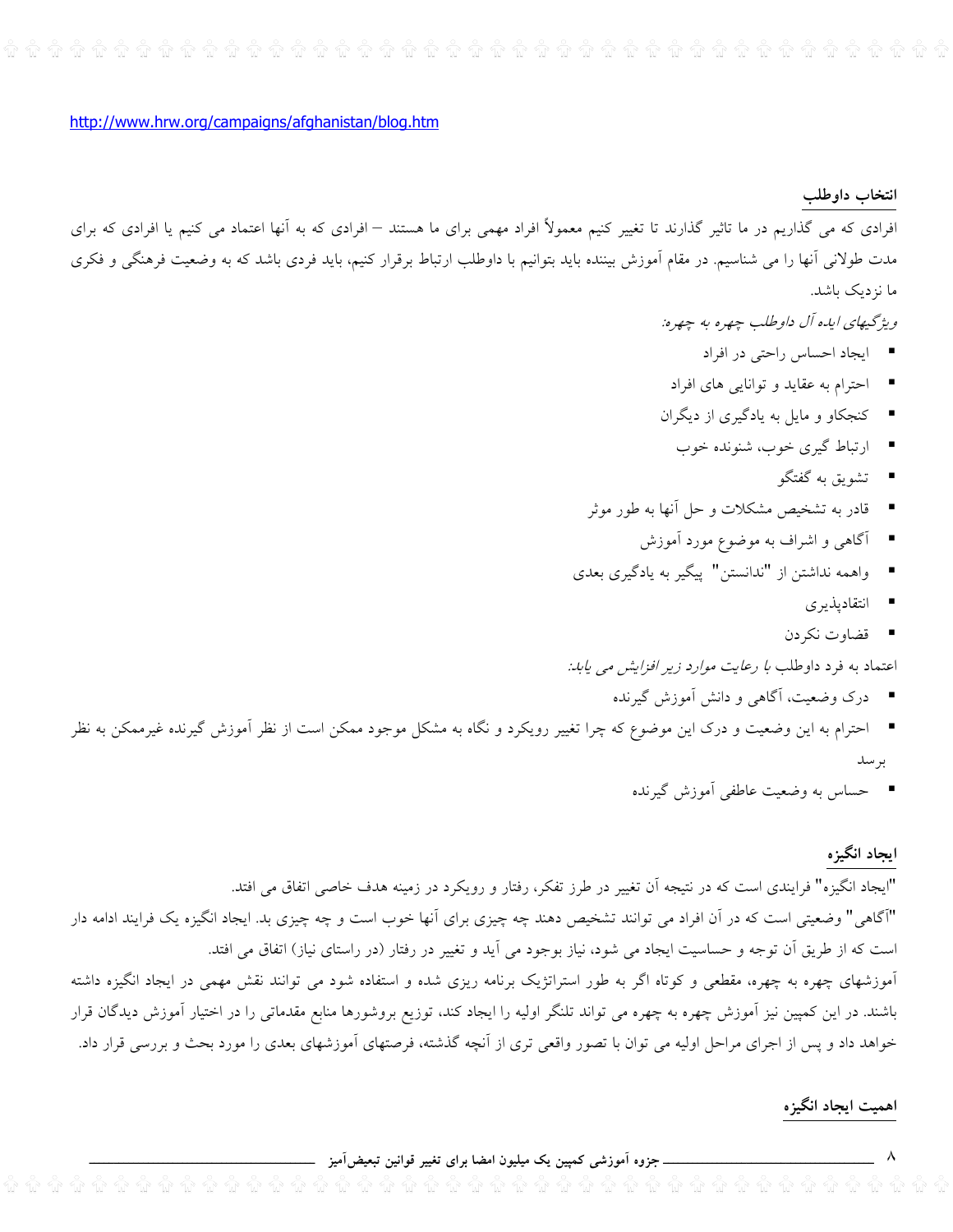http://www.hrw.org/campaigns/afghanistan/blog.htm

#### انتخاب داوطلب

افرادی که می گذاریم در ما تاثیر گذارند تا تغییر کنیم معمولاً افراد مهمی برای ما هستند – افرادی که به آنها اعتماد می کنیم یا افرادی که برای مدت طولانی آنها را می شناسیم. در مقام آموزش بیننده باید بتوانیم با داوطلب ارتباط برقرار کنیم، باید فردی باشد که به وضعیت فرهنگی و فکری ما نزدیک باشد.

- ويژگيهاي اياه آل داوطلب چهره به چهره:
	- ايجاد احساس راحتى در افراد
- احترام به عقاید و توانایی های افراد
- کنجکاو و مایل به یادگیری از دیگران
	- ارتباط گیری خوب، شنونده خوب
		- \_ تشويق به گفتگو
- \_ قادر به تشخیص مشکلات و حل آنها به طور موثر
	- آگاهی و اشراف به موضوع مورد آموزش
- واهمه نداشتن از "ندانستن" پیگیر به یادگیری بعدی
	- انتقادیذیری
	- قضاوت نکردن

اعتماد به فرد داوطلب *با رعایت موارد زیر افزایش می یابد:* 

- درک وضعیت، آگاهی و دانش آموزش گیرنده
- احترام به این وضعیت و درک این موضوع که چرا تغییر رویکرد و نگاه به مشکل موجود ممکن است از نظر آموزش گیرنده غیرممکن به نظر برسد
	- حساس به وضعیت عاطفی آموزش گیرنده

#### ايجاد انگيزه

"ایجاد انگیزه" فرایندی است که در نتیجه آن تغییر در طرز تفکر، رفتار و رویکرد در زمینه هدف خاصی اتفاق می افتد. "آگاهی" وضعیتی است که در آن افراد می توانند تشخیص دهند چه چیزی برای آنها خوب است و چه چیزی بد. ایجاد انگیزه یک فرایند ادامه دار است كه از طريق آن توجه و حساسيت ايجاد مي شود، نياز بوجود مي آيد و تغيير در رفتار (در راستاي نياز) اتفاق مي افتد. آموزشهای چهره به چهره، مقطعی و کوتاه اگر به طور استراتژیک برنامه ریزی شده و استفاده شود می توانند نقش مهمی در ایجاد انگیزه داشته باشند. در این کمپین نیز آموزش چهره به چهره می تواند تلنگر اولیه را ایجاد کند، توزیع بروشورها منابع مقدماتی را در اختیار آموزش دیدگان قرار خواهد داد و پس از اجرای مراحل اولیه می توان با تصور واقعی تری از آنچه گذشته، فرصتهای آموزشهای بعدی را مورد بحث و بررسی قرار داد.

#### اهميت ايجاد انگيزه

۔ جزوہ اَموزشی کمپین یک میلیون امضا برای تغییر قوانین تبعیضآمیز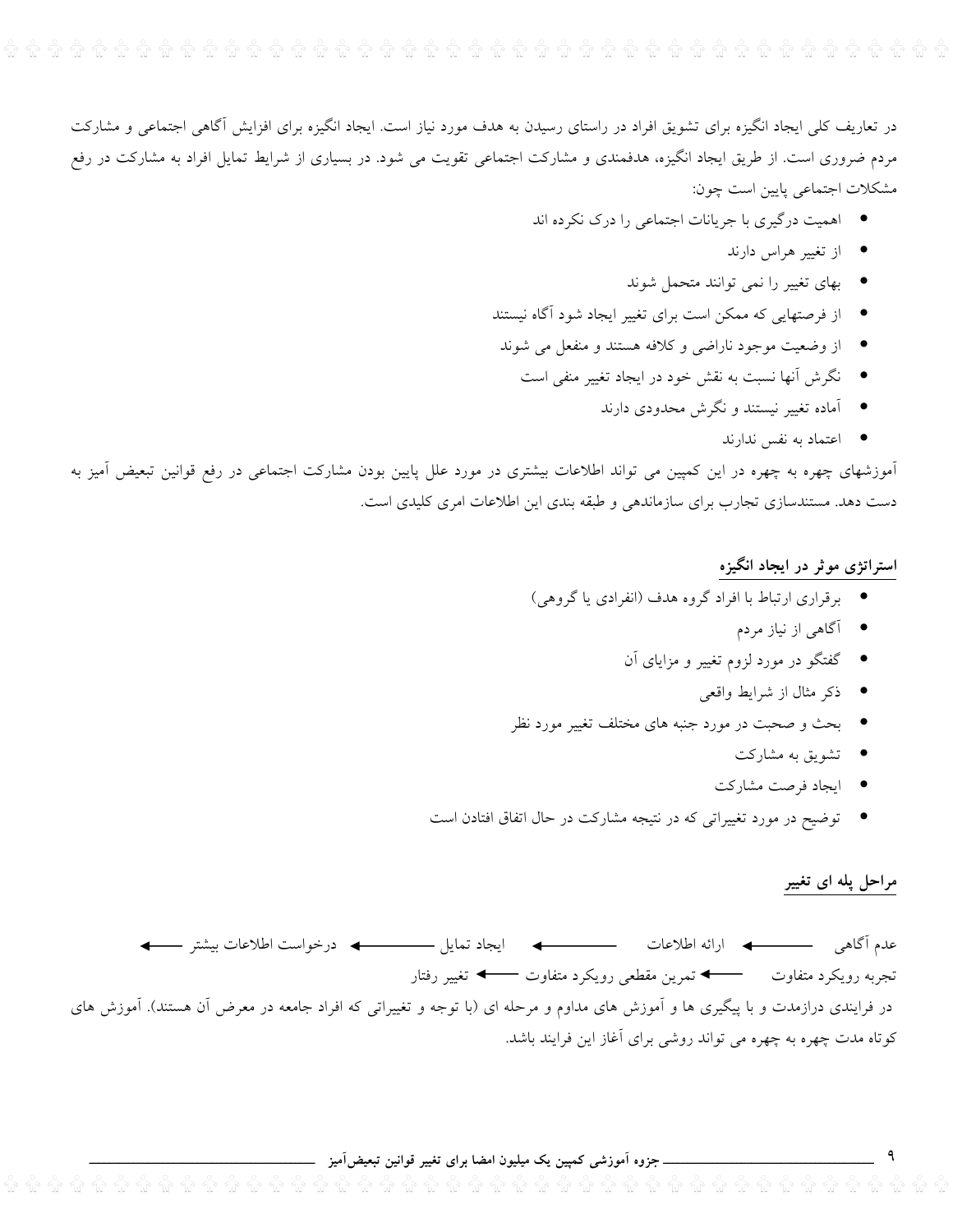در تعاریف کلی ایجاد انگیزه برای تشویق افراد در راستای رسیدن به هدف مورد نیاز است. ایجاد انگیزه برای افزایش آگاهی اجتماعی و مشارکت مردم ضروری است. از طریق ایجاد انگیزه، هدفمندی و مشارکت اجتماعی تقویت می شود. در بسیاری از شرایط تمایل افراد به مشارکت در رفع مشكلات اجتماعي پايين است چون:

- اهمیت درگیری با جریانات اجتماعی را درک نکرده اند
	- از تغییر هراس دارند
	- بهای تغییر را نمی توانند متحمل شوند
- از فرصتهایی که ممکن است برای تغییر ایجاد شود آگاه نیستند
- از وضعیت موجود ناراضی و کلافه هستند و منفعل می شوند
	- نگرش آنها نسبت به نقش خود در ایجاد تغییر منفی است
		- آماده تغییر نیستند و نگرش محدودی دارند
			- اعتماد به نفس ندارند

آموزشهای چهره به چهره در این کمپین می تواند اطلاعات بیشتری در مورد علل پایین بودن مشارکت اجتماعی در رفع قوانین تبعیض اَمیز به دست دهد. مستندسازی تجارب برای سازماندهی و طبقه بندی این اطلاعات امری کلیدی است.

## استراتژی موثر در ایجاد انگیزه

- برقراري ارتباط با افراد گروه هدف (انفرادي يا گروهي)
	- آگاه<sub>ی</sub> از نیاز مردم
	- گفتگو در مورد لزوم تغییر و مزایای آن
		- ذکر مثال از شرایط واقعی
- بحث و صحبت در مورد جنبه های مختلف تغییر مورد نظر
	- \_ تشویق به مشارکت
	- ايجاد فرصت مشاركت
- توضیح در مورد تغییراتی که در نتیجه مشارکت در حال اتفاق افتادن است

# مراحل پله ای تغییر

 $\overline{q}$ 

تجربه رويكرد متفاوت — ♦ تمرين مقطعي رويكرد متفاوت —← تغيير رفتار در فرایندی درازمدت و با پیگیری ها و آموزش های مداوم و مرحله ای (با توجه و تغییراتی که افراد جامعه در معرض آن هستند). آموزش های کوتاه مدت چهره به چهره می تواند روشی برای آغاز این فرایند باشد.

\_\_ جزوہ آموزشی کمپین یک میلیون امضا برای تغییر قوانین تبعیضآمیز \_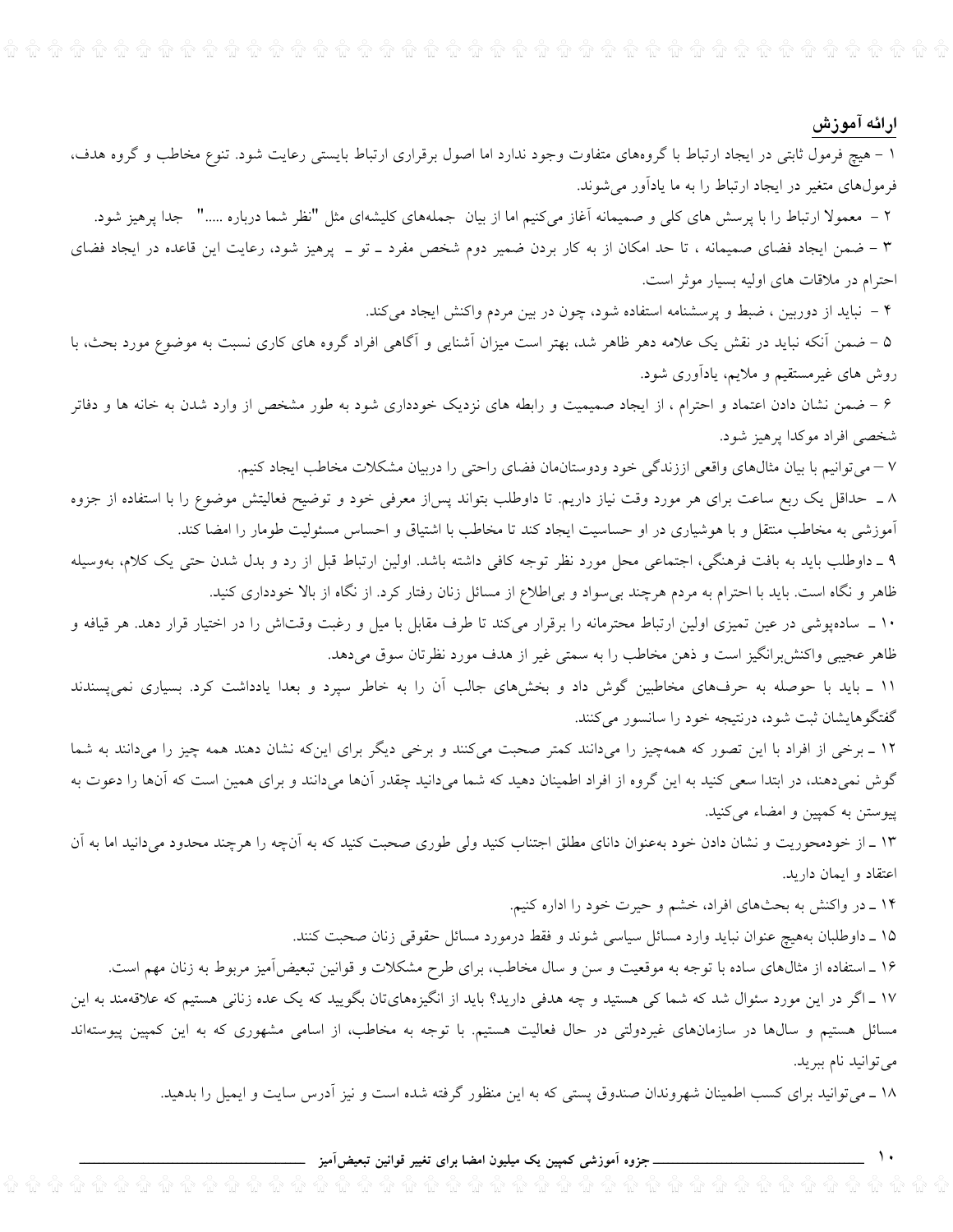# ارائه آموزش

 $\mathcal{L}$ 

۱ – هیچ فرمول ثابتی در ایجاد ارتباط با گروههای متفاوت وجود ندارد اما اصول برقراری ارتباط بایستی رعایت شود. تنوع مخاطب و گروه هدف، فرمولهای متغیر در ایجاد ارتباط را به ما یادآور میشوند.

۲ – معمولا ارتباط را با پرسش های کلی و صمیمانه آغاز میکنیم اما از بیان جملههای کلیشهای مثل "نظر شما درباره ....." جدا پرهیز شود. ۳ – ضمن ایجاد فضای صمیمانه ، تا حد امکان از به کار بردن ضمیر دوم شخص مفرد ــ تو ــ پرهیز شود، رعایت این قاعده در ایجاد فضای

احترام در ملاقات های اولیه بسیار موثر است.

۴ – نباید از دوربین ، ضبط و پرسشنامه استفاده شود، چون در بین مردم واکنش ایجاد میکند.

۵ – ضمن آنکه نباید در نقش یک علامه دهر ظاهر شد، بهتر است میزان آشنایی و آگاهی افراد گروه های کاری نسبت به موضوع مورد بحث، با روش های غیرمستقیم و ملایم، یادآوری شود.

۶ – ضمن نشان دادن اعتماد و احترام ، از ایجاد صمیمیت و رابطه های نزدیک خودداری شود به طور مشخص از وارد شدن به خانه ها و دفاتر شخصی افراد موکدا پرهیز شود.

۷ – میتوانیم با بیان مثال،های واقعی اززندگی خود ودوستان.ان فضای راحتی را دربیان مشکلات مخاطب ایجاد کنیم.

۸ ــ حداقل یک ربع ساعت برای هر مورد وقت نیاز داریم. تا داوطلب بتواند پس|ز معرفی خود و توضیح فعالیتش موضوع را با استفاده از جزوه آموزشی به مخاطب منتقل و با هوشیاری در او حساسیت ایجاد کند تا مخاطب با اشتیاق و احساس مسئولیت طومار را امضا کند.

۹ ـ داوطلب باید به بافت فرهنگی، اجتماعی محل مورد نظر توجه کافی داشته باشد. اولین ارتباط قبل از رد و بدل شدن حتی یک کلام، بهوسیله ظاهر و نگاه است. باید با احترام به مردم هرچند بی سواد و بی اطلاع از مسائل زنان رفتار کرد. از نگاه از بالا خودداری کنید.

۱۰ ــ سادهپوشی در عین تمیزی اولین ارتباط محترمانه را برقرار میکند تا طرف مقابل با میل و رغبت وقتاش را در اختیار قرار دهد. هر قیافه و ظاهر عجیبی واکنش برانگیز است و ذهن مخاطب را به سمتی غیر از هدف مورد نظرتان سوق میدهد.

۱۱ \_ باید با حوصله به حرفهای مخاطبین گوش داد و بخشهای جالب آن را به خاطر سپرد و بعدا یادداشت کرد. بسیاری نمیپسندند گفتگوهایشان ثبت شود، درنتیجه خود را سانسور میکنند.

۱۲ ـ برخی از افراد با این تصور که همهچیز را میدانند کمتر صحبت میکنند و برخی دیگر برای اینکه نشان دهند همه چیز را میدانند به شما گوش نمیدهند، در ابتدا سعی کنید به این گروه از افراد اطمینان دهید که شما میدانید چقدر آنها میدانند و برای همین است که آنها را دعوت به پیوستن به کمپین و امضاء میکنید.

۱۳ ـ از خودمحوریت و نشان دادن خود بهعنوان دانای مطلق اجتناب کنید ولی طوری صحبت کنید که به آنچه را هرچند محدود میدانید اما به آن اعتقاد و ايمان داريد.

۱۴ ـ در واكنش به بحثهاى افراد، خشم و حيرت خود را اداره كنيم.

۱۵ ـ داوطلبان بههیچ عنوان نباید وارد مسائل سیاسی شوند و فقط درمورد مسائل حقوقی زنان صحبت کنند.

۱۶ ـ استفاده از مثالهای ساده با توجه به موقعیت و سن و سال مخاطب، برای طرح مشکلات و قوانین تبعیضآمیز مربوط به زنان مهم است. ۱۷ ـ اگر در این مورد سئوال شد که شما کی هستید و چه هدفی دارید؟ باید از انگیزههایتان بگویید که یک عده زنانی هستیم که علاقهمند به این

مسائل هستیم و سال@ا در سازمانهای غیردولتی در حال فعالیت هستیم. با توجه به مخاطب، از اسامی مشهوری که به این کمپین پیوستهاند میتوانید نام ببرید.

۱۸ ـ میتوانید برای کسب اطمینان شهروندان صندوق پستی که به این منظور گرفته شده است و نیز اَدرس سایت و ایمیل را بدهید.

## ــــــــــ جزوه آموزشی کمپین یک میلیون امضا برای تغییر قوانین تبعیض[میز \_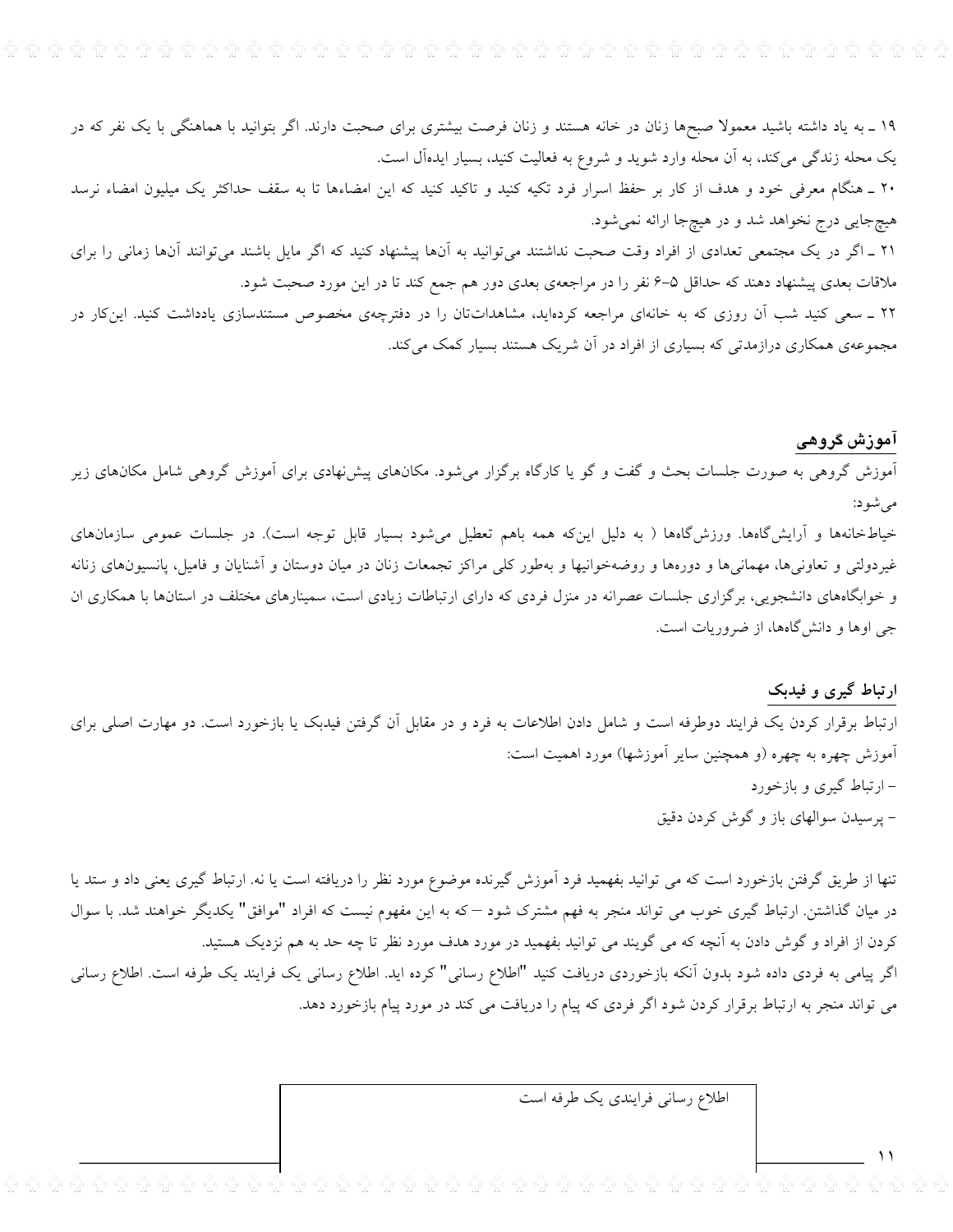۱۹ \_ به یاد داشته باشید معمولا صبحها زنان در خانه هستند و زنان فرصت بیشتری برای صحبت دارند. اگر بتوانید با هماهنگی با یک نفر که در یک محله زندگی میکند، به آن محله وارد شوید و شروع به فعالیت کنید، بسیار ایدهآل است.

۲۰ ـ هنگام معرفی خود و هدف از کار بر حفظ اسرار فرد تکیه کنید و تاکید کنید که این امضاءها تا به سقف حداکثر یک میلیون امضاء نرسد هيچ جايي درج نخواهد شد و در هيچ جا ارائه نمي شود.

۲۱ ـ اگر در یک مجتمعی تعدادی از افراد وقت صحبت نداشتند میتوانید به آنها پیشنهاد کنید که اگر مایل باشند میتوانند آنها زمانی را برای ملاقات بعدی پیشنهاد دهند که حداقل ۵–۶ نفر را در مراجعهی بعدی دور هم جمع کند تا در این مورد صحبت شود.

۲۲ \_ سعی کنید شب آن روزی که به خانهای مراجعه کردهاید، مشاهداتتان را در دفترچهی مخصوص مستندسازی یادداشت کنید. اینکار در مجموعهی همکاری درازمدتی که بسیاری از افراد در آن شریک هستند بسیار کمک میکند.

# آموزش گروهی

آموزش گروهی به صورت جلسات بحث و گفت و گو یا کارگاه برگزار میشود. مکانهای پیشنهادی برای آموزش گروهی شامل مکانهای زیر مى شود:

خیاطخانهها و آرایشگاهها. ورزش&اهها ( به دلیل اینکه همه باهم تعطیل میشود بسیار قابل توجه است). در جلسات عمومی سازمانهای غیردولتی و تعاونیها، مهمانیها و دورهها و روضهخوانیها و بهطور کلی مراکز تجمعات زنان در میان دوستان و آشنایان و فامیل، پانسیونهای زنانه و خوابگاههای دانشجویی، برگزاری جلسات عصرانه در منزل فردی که دارای ارتباطات زیادی است، سمینارهای مختلف در استانها با همکاری ان جی اوها و دانشگاهها، از ضروریات است.

## ارتباط گیری و فیدبک

 $\rightarrow$ 

ارتباط برقرار کردن یک فرایند دوطرفه است و شامل دادن اطلاعات به فرد و در مقابل آن گرفتن فیدبک یا بازخورد است. دو مهارت اصلی برای آموزش چهره به چهره (و همچنین سایر آموزشها) مورد اهمیت است: – ارتباط گیری و بازخورد – پرسیدن سوالهای باز و گوش کردن دقیق

تنها از طریق گرفتن بازخورد است که می توانید بفهمید فرد آموزش گیرنده موضوع مورد نظر را دریافته است یا نه. ارتباط گیری یعنی داد و ستد یا در میان گذاشتن. ارتباط گیری خوب می تواند منجر به فهم مشترک شود –که به این مفهوم نیست که افراد "موافق" یکدیگر خواهند شد. با سوال کردن از افراد و گوش دادن به آنچه که می گویند می توانید بفهمید در مورد هدف مورد نظر تا چه حد به هم نزدیک هستید. اگر پیامی به فردی داده شود بدون آنکه بازخوردی دریافت کنید "اطلاع رسانی" کرده اید. اطلاع رسانی یک فرایند یک طرفه است. اطلاع رسانی

می تواند منجر به ارتباط برقرار کردن شود اگر فردی که پیام را دریافت می کند در مورد پیام بازخورد دهد.

اطلاع رسانی فرایندی یک طرفه است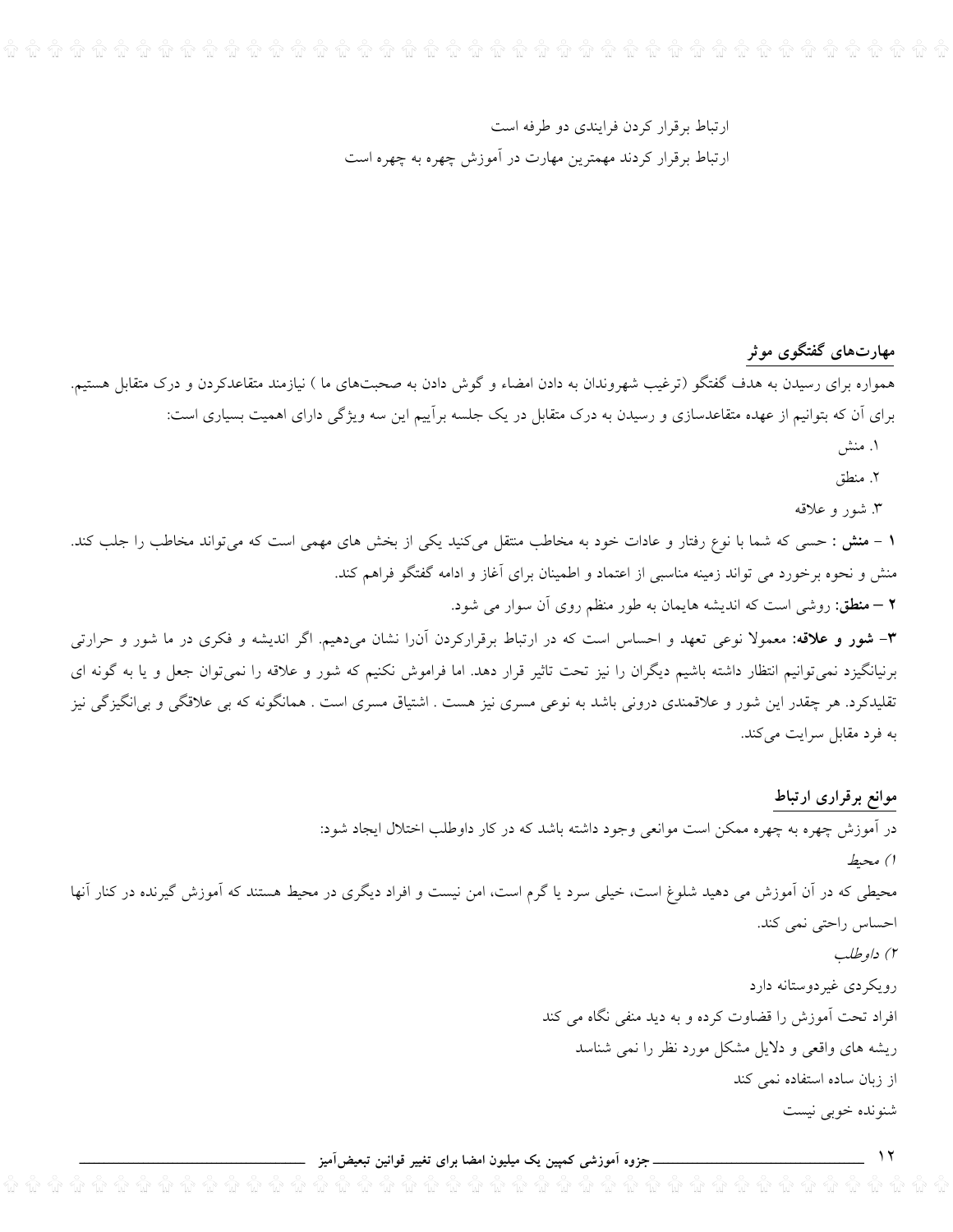# ارتباط برقرار كردن فرايندي دو طرفه است ارتباط برقرار کردند مهمترین مهارت در آموزش چهره به چهره است

مهارتهای گفتگوی موثر

همواره برای رسیدن به هدف گفتگو (ترغیب شهروندان به دادن امضاء و گوش دادن به صحبتهای ما ) نیازمند متقاعدکردن و درک متقابل هستیم. برای اَن که بتوانیم از عهده متقاعدسازی و رسیدن به درک متقابل در یک جلسه براییم این سه ویژگی دارای اهمیت بسیاری است:

- ۱. منش
- ٢. منطق
- ۳. شور و علاقه

۱ – منش : حسی که شما با نوع رفتار و عادات خود به مخاطب منتقل میکنید یکی از بخش های مهمی است که میتواند مخاطب را جلب کند. منش و نحوه برخورد می تواند زمینه مناسبی از اعتماد و اطمینان برای آغاز و ادامه گفتگو فراهم کند. **۲** – منطق: روشی است که اندیشه هایمان به طور منظم روی آن سوار می شود.

۳- **شور و علاقه: مع**مولا نوعی تعهد و احساس است که در ارتباط برقرارکردن آن(ا نشان میدهیم. اگر اندیشه و فکری در ما شور و حرارتی برنیانگیزد نمیتوانیم انتظار داشته باشیم دیگران را نیز تحت تاثیر قرار دهد. اما فراموش نکنیم که شور و علاقه را نمیتوان جعل و یا به گونه ای تقلیدکرد. هر چقدر این شور و علاقمندی درونی باشد به نوعی مسری نیز هست . اشتیاق مسری است . همانگونه که بی علاقگی و بی|نگیزگی نیز به فرد مقابل سرایت میکند.

موانع برقرارى ارتباط

در اّموزش چهره به چهره ممکن است موانعی وجود داشته باشد که در کار داوطلب اختلال ایجاد شود: ا) محيط محیطی که در آن آموزش می دهید شلوغ است، خیلی سرد یا گرم است، امن نیست و افراد دیگری در محیط هستند که آموزش گیرنده در کنار آنها احساس راحتى نمى كند. ۲) داوطلب رویکردی غیردوستانه دارد افراد تحت اموزش را قضاوت کرده و به دید منفی نگاه می کند ریشه های واقعی و دلایل مشکل مورد نظر را نمی شناسد از زبان ساده استفاده نمی کند شنونده خوبي نيست

<sub>·</sub> جزوہ آموزشی کمپین یک میلیون امضا برای تغییر قوانین تبعیضآمیز ۔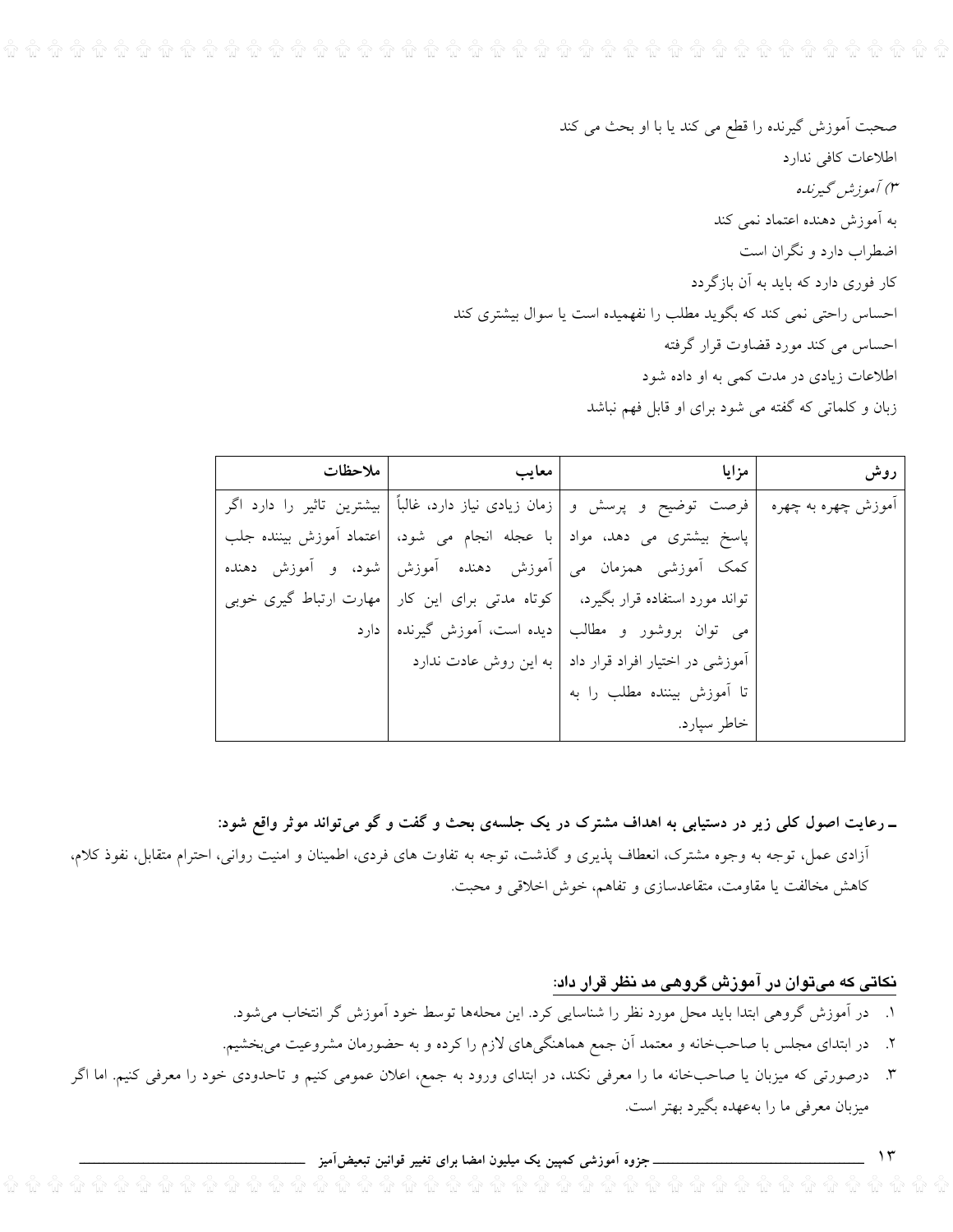صحبت اَموزش گیرنده را قطع می کند یا با او بحث می کند اطلاعات كافي ندارد ۳) آموزش گیرنده به آموزش دهنده اعتماد نمی کند اضطراب دارد و نگران است کار فوری دارد که باید به آن بازگردد احساس راحتی نمی کند که بگوید مطلب را نفهمیده است یا سوال بیشتری کند احساس می کند مورد قضاوت قرار گرفته اطلاعات زیادی در مدت کمی به او داده شود زبان و کلماتی که گفته می شود برای او قابل فهم نباشد

| ملاحظات | معايب                                           | مزايا                                                                                                     | روش |
|---------|-------------------------------------------------|-----------------------------------------------------------------------------------------------------------|-----|
|         |                                                 | آموزش چهره به چهره  فرصت  توضیح  و  پرسش  و  زمان زیادی نیاز دارد، غالباً   بیشترین  تاثیر  را  دارد  اگر |     |
|         | با عجله انجام می شود،   اعتماد آموزش بیننده جلب | پاسخ بیشتری می دهد، مواد                                                                                  |     |
|         | آموزش دهنده آموزش   شود، و آموزش دهنده          | كمک أموزشي همزمان مي                                                                                      |     |
|         |                                                 | تواند مورد استفاده قرار بگیرد،   کوتاه مدتی برای این کار   مهارت ارتباط گیری خوبی                         |     |
|         |                                                 | می توان بروشور و مطالب   دیده است، آموزش گیرنده   دارد                                                    |     |
|         |                                                 | أموزشي در اختيار افراد قرار داد   به اين روش عادت ندارد                                                   |     |
|         |                                                 | تا أموزش بيننده مطلب را به                                                                                |     |
|         |                                                 | خاطر سيارد.                                                                                               |     |

ـ رعایت اصول کلی زیر در دستیابی به اهداف مشترک در یک جلسهی بحث و گفت و گو میتواند موثر واقع شود: آزادی عمل، توجه به وجوه مشترک، انعطاف پذیری و گذشت، توجه به تفاوت های فردی، اطمینان و امنیت روانی، احترام متقابل، نفوذ کلام، كاهش مخالفت يا مقاومت، متقاعدسازي و تفاهم، خوش اخلاقي و محبت.

# نکاتی که میتوان در آموزش گروهی مد نظر قرار داد:

 $\gamma$ 

- ١. در آموزش گروهی ابتدا باید محل مورد نظر را شناسایی کرد. این محلهها توسط خود آموزش گر انتخاب میشود.
- ۲. در ابتدای مجلس با صاحبخانه و معتمد آن جمع هماهنگیهای لازم را کرده و به حضورمان مشروعیت میبخشیم.
- ۳. درصورتی که میزبان یا صاحبخانه ما را معرفی نکند، در ابتدای ورود به جمع، اعلان عمومی کنیم و تاحدودی خود را معرفی کنیم. اما اگر میزبان معرفی ما را بهعهده بگیرد بهتر است.

ـ جزوه آموزشی کمپین یک میلیون امضا برای تغییر قوانین تبعیضآمیز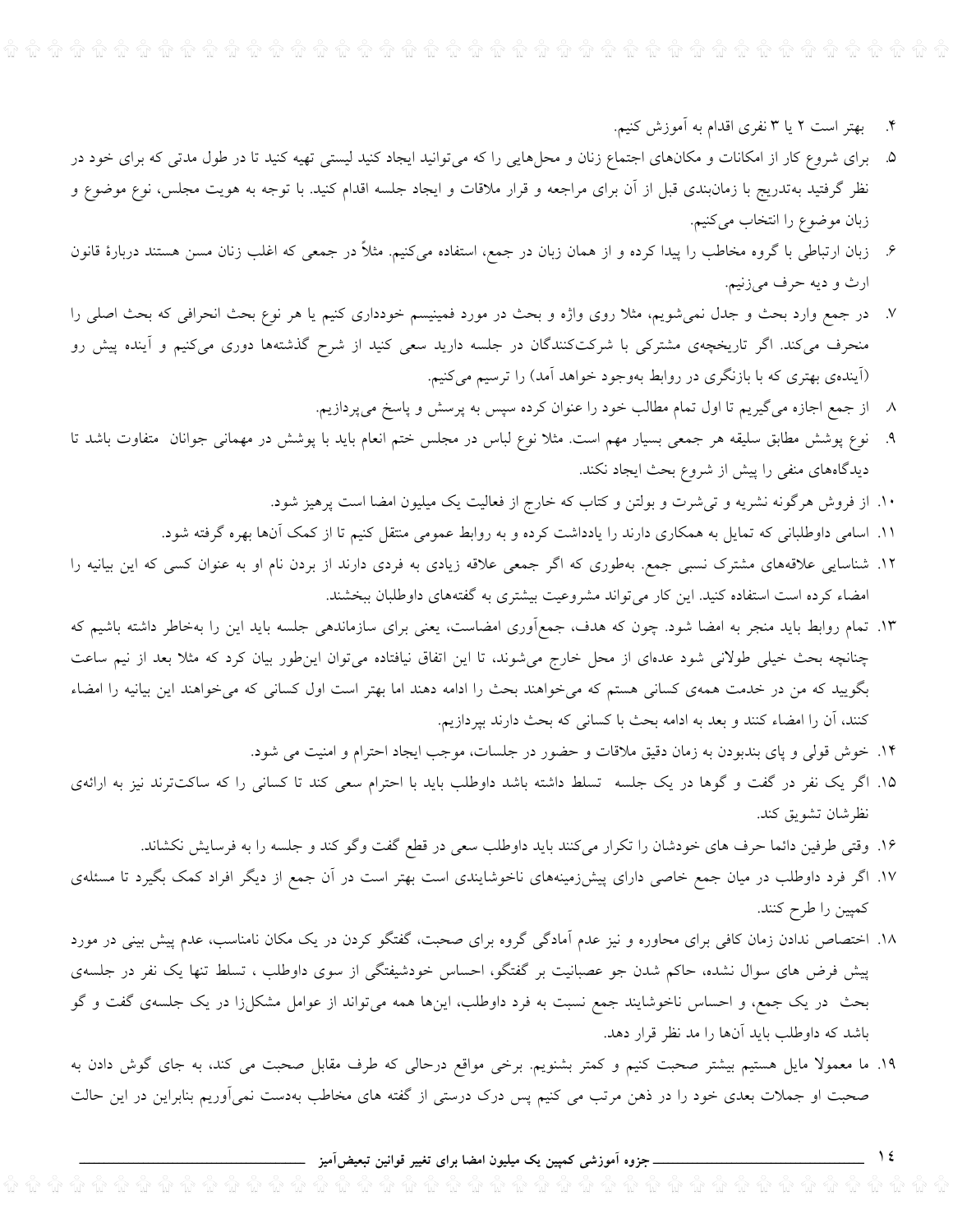- ۴. بهتر است ۲ یا ۳ نفری اقدام به آموزش کنیم.
- ۵. برای شروع کار از امکانات و مکانهای اجتماع زنان و محلهایی را که می¤وانید ایجاد کنید لیستی تهیه کنید تا در طول مدتی که برای خود در نظر گرفتید بهتدریج با زمانبندی قبل از آن برای مراجعه و قرار ملاقات و ایجاد جلسه اقدام کنید. با توجه به هویت مجلس، نوع موضوع و زبان موضوع را انتخاب میکنیم.
- ۶. زبان ارتباطی با گروه مخاطب را پیدا کرده و از همان زبان در جمع، استفاده میکنیم. مثلاً در جمعی که اغلب زنان مسن هستند دربارهٔ قانون ارث و ديه حرف ميزنيم.
- ۷. در جمع وارد بحث و جدل نمیشویم، مثلا روی واژه و بحث در مورد فمینیسم خودداری کنیم یا هر نوع بحث انحرافی که بحث اصلی را منحرف میکند. اگر تاریخچهی مشترکی با شرکتکنندگان در جلسه دارید سعی کنید از شرح گذشتهها دوری میکنیم و آینده پیش رو (اَیندهی بهتری که با بازنگری در روابط بهوجود خواهد اَمد) را ترسیم میکنیم.
	- ۸ از جمع اجازه می گیریم تا اول تمام مطالب خود را عنوان کرده سپس به پرسش و پاسخ میپردازیم.
- ۹. نوع پوشش مطابق سلیقه هر جمعی بسیار مهم است. مثلا نوع لباس در مجلس ختم انعام باید با پوشش در مهمانی جوانان متفاوت باشد تا دیدگاههای منفی را پیش از شروع بحث ایجاد نکند.
	- ۱۰. از فروش هرگونه نشریه و تپیشرت و بولتن و کتاب که خارج از فعالیت یک میلیون امضا است پرهیز شود.
	- ۱۱. اسامی داوطلبانی که تمایل به همکاری دارند را یادداشت کرده و به روابط عمومی منتقل کنیم تا از کمک آنها بهره گرفته شود.
- ۱۲. شناسایی علاقههای مشترک نسبی جمع. بهطوری که اگر جمعی علاقه زیادی به فردی دارند از بردن نام او به عنوان کسی که این بیانیه را امضاء کرده است استفاده کنید. این کار میتواند مشروعیت بیشتری به گفتههای داوطلبان ببخشند.
- ۱۳. تمام روابط باید منجر به امضا شود. چون که هدف، جمعآوری امضاست، یعنی برای سازماندهی جلسه باید این را بهخاطر داشته باشیم که چنانچه بحث خیلی طولانی شود عدمای از محل خارج می شوند، تا این اتفاق نیافتاده می توان این طور بیان کرد که مثلا بعد از نیم ساعت بگویید که من در خدمت همهی کسانی هستم که میخواهند بحث را ادامه دهند اما بهتر است اول کسانی که میخواهند این بیانیه را امضاء كنند، أن را امضاء كنند و بعد به ادامه بحث با كسانى كه بحث دارند بپردازيم.
	- ۱۴. خوش قولی و پای بندبودن به زمان دقیق ملاقات و حضور در جلسات، موجب ایجاد احترام و امنیت می شود.
- ۱۵. اگر یک نفر در گفت و گوها در یک جلسه تسلط داشته باشد داوطلب باید با احترام سعی کند تا کسانی را که ساکتترند نیز به ارائهی نظر شان تشويق كند.
	- ۱۶. وقتی طرفین دائما حرف های خودشان را تکرار میکنند باید داوطلب سعی در قطع گفت وگو کند و جلسه را به فرسایش نکشاند.
- ۱۷. اگر فرد داوطلب در میان جمع خاصی دارای پیشزمینههای ناخوشایندی است بهتر است در آن جمع از دیگر افراد کمک بگیرد تا مسئلهی كمپين را طرح كنند.
- ۱۸. اختصاص ندادن زمان کافی برای محاوره و نیز عدم آمادگی گروه برای صحبت، گفتگو کردن در یک مکان نامناسب، عدم پیش بینی در مورد پیش فرض های سوال نشده، حاکم شدن جو عصبانیت بر گفتگو، احساس خودشیفتگی از سوی داوطلب ، تسلط تنها یک نفر در جلسهی بحث در یک جمع، و احساس ناخوشایند جمع نسبت به فرد داوطلب، اینها همه میتواند از عوامل مشکل(ا در یک جلسهی گفت و گو باشد که داوطلب باید آنها را مد نظر قرار دهد.
- ۱۹. ما معمولا مایل هستیم بیشتر صحبت کنیم و کمتر بشنویم. برخی مواقع درحالی که طرف مقابل صحبت می کند، به جای گوش دادن به صحبت او جملات بعدی خود را در ذهن مرتب می کنیم پس درک درستی از گفته های مخاطب بهدست نمیآوریم بنابراین در این حالت

 $\frac{1}{2}$ \_\_ جزوہ اَموزشی کمپین یک میلیون امضا برای تغییر قوانین تبعیض<mark>اَمیز </mark>\_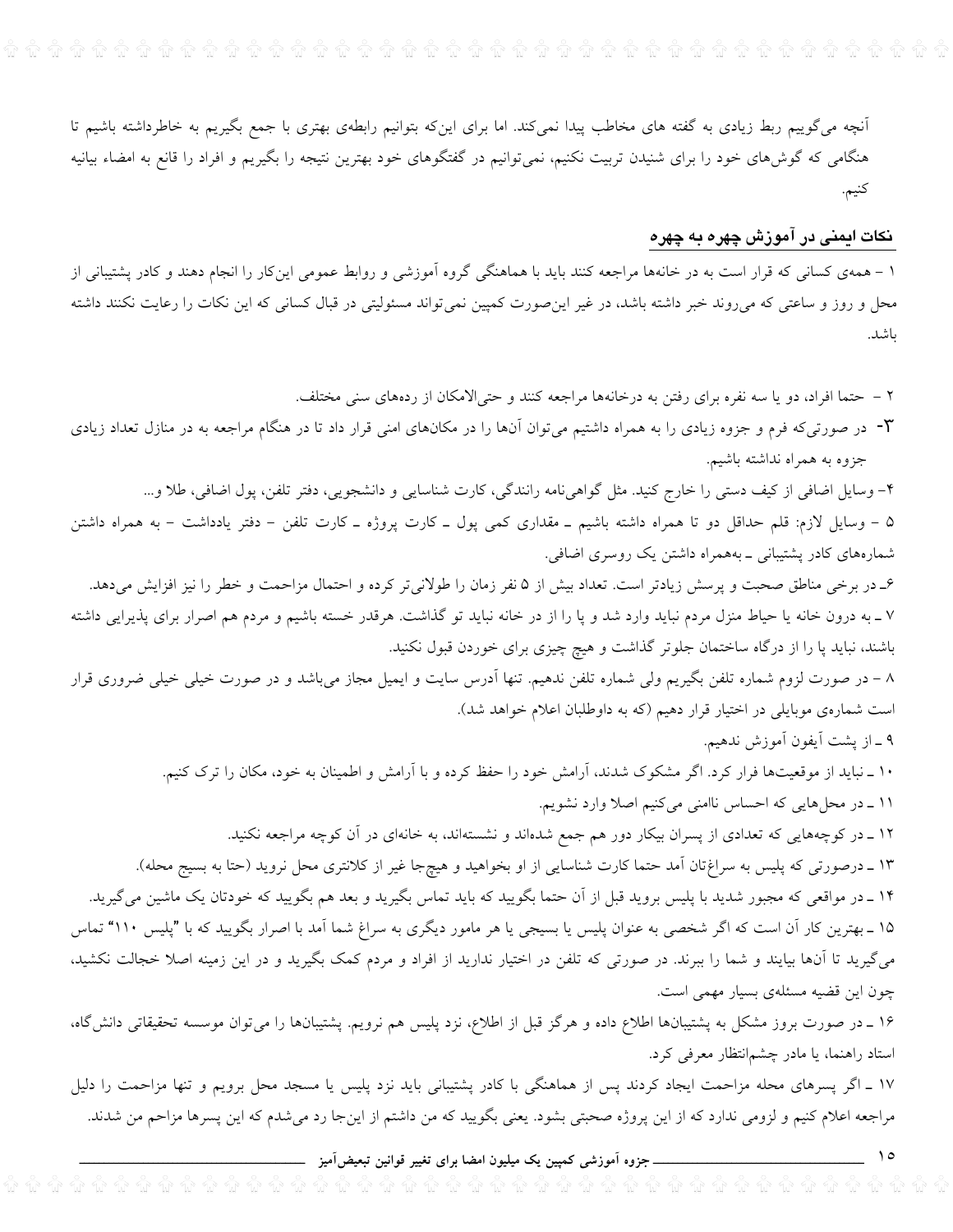آنچه میگوییم ربط زیادی به گفته های مخاطب پیدا نمیکند. اما برای اینکه بتوانیم رابطهی بهتری با جمع بگیریم به خاطرداشته باشیم تا هنگامی که گوش۵های خود را برای شنیدن تربیت نکنیم، نمیتوانیم در گفتگوهای خود بهترین نتیجه را بگیریم و افراد را قانع به امضاء بیانیه كنيم.

#### نکات ایمنی در آموزش چهره به چهره

۱ – همهی کسانی که قرار است به در خانهها مراجعه کنند باید با هماهنگی گروه آموزشی و روابط عمومی اینکار را انجام دهند و کادر پشتیبانی از محل و روز و ساعتی که می٫وند خبر داشته باشد، در غیر اینِ صورت کمپین نمیٍ تواند مسئولیتی در قبال کسانی که این نکات را رعایت نکنند داشته باشد.

۲ – حتما افراد، دو یا سه نفره برای رفتن به درخانهها مراجعه کنند و حتیالامکان از ردههای سنی مختلف.

۰۳ در صورتیکه فرم و جزوه زیادی را به همراه داشتیم میتوان آنها را در مکانهای امنی قرار داد تا در هنگام مراجعه به در منازل تعداد زیادی جزوه به همراه نداشته باشیم.

۴– وسایل اضافی از کیف دستی را خارج کنید. مثل گواهیiامه رانندگی، کارت شناسایی و دانشجویی، دفتر تلفن، پول اضافی، طلا و… ۵ – وسایل لازم: قلم حداقل دو تا همراه داشته باشیم ــ مقداری کمی پول ــ کارت پروژه ــ کارت تلفن – دفتر یادداشت – به همراه داشتن شمارههای کادر پشتیبانی ــ بههمراه داشتن یک روسری اضافی.

۶ـ در برخی مناطق صحبت و پرسش زیادتر است. تعداد بیش از ۵ نفر زمان را طولانیتر کرده و احتمال مزاحمت و خطر را نیز افزایش میدهد. ۷ ـ به درون خانه یا حیاط منزل مردم نباید وارد شد و پا را از در خانه نباید تو گذاشت. هرقدر خسته باشیم و مردم هم اصرار برای پذیرایی داشته باشند، نباید پا را از درگاه ساختمان جلوتر گذاشت و هیچ چیزی برای خوردن قبول نکنید.

۸ – در صورت لزوم شماره تلفن بگیریم ولی شماره تلفن ندهیم. تنها آدرس سایت و ایمیل مجاز میباشد و در صورت خیلی خیلی ضروری قرار است شمارهی موبایلی در اختیار قرار دهیم (که به داوطلبان اعلام خواهد شد).

۹ ـ از پشت آيفون آموزش ندهيم.

۱۰ ــ نباید از موقعیتها فرار کرد. اگر مشکوک شدند، آرامش خود را حفظ کرده و با آرامش و اطمینان به خود، مکان را ترک کنیم. ١١ ـ در محلهايي كه احساس ناامني مي كنيم اصلا وارد نشويم.

۱۲ ـ در کوچههایی که تعدادی از پسران بیکار دور هم جمع شدهاند و نشستهاند، به خانهای در آن کوچه مراجعه نکنید. ۱۳ ـ درصورتی که پلیس به سراغتان آمد حتما کارت شناسایی از او بخواهید و هیچجا غیر از کلانتری محل نروید (حتا به بسیج محله). ۱۴ ـ در مواقعی که مجبور شدید با پلیس بروید قبل از آن حتما بگویید که باید تماس بگیرید و بعد هم بگویید که خودتان یک ماشین میگیرید.

۱۵ ـ بهترین کار آن است که اگر شخصی به عنوان پلیس یا بسیجی یا هر مامور دیگری به سراغ شما آمد با اصرار بگویید که با "پلیس ۱۱۰" تماس میگیرید تا آنها بیایند و شما را ببرند. در صورتی که تلفن در اختیار ندارید از افراد و مردم کمک بگیرید و در این زمینه اصلا خجالت نکشید، چون این قضیه مسئلهی بسیار مهمی است.

۱۶ ـ در صورت بروز مشکل به پشتیبانها اطلاع داده و هرگز قبل از اطلاع، نزد پلیس هم نرویم. پشتیبانها را میتوان موسسه تحقیقاتی دانش§اه، استاد راهنما، یا مادر چشم|نتظار معرفی کرد.

۱۷ ـ اگر پسرهای محله مزاحمت ایجاد کردند پس از هماهنگی با کادر پشتیبانی باید نزد پلیس یا مسجد محل برویم و تنها مزاحمت را دلیل مراجعه اعلام کنیم و لزومی ندارد که از این پروژه صحبتی بشود. یعنی بگویید که من داشتم از اینجا رد میشدم که این پسرها مزاحم من شدند.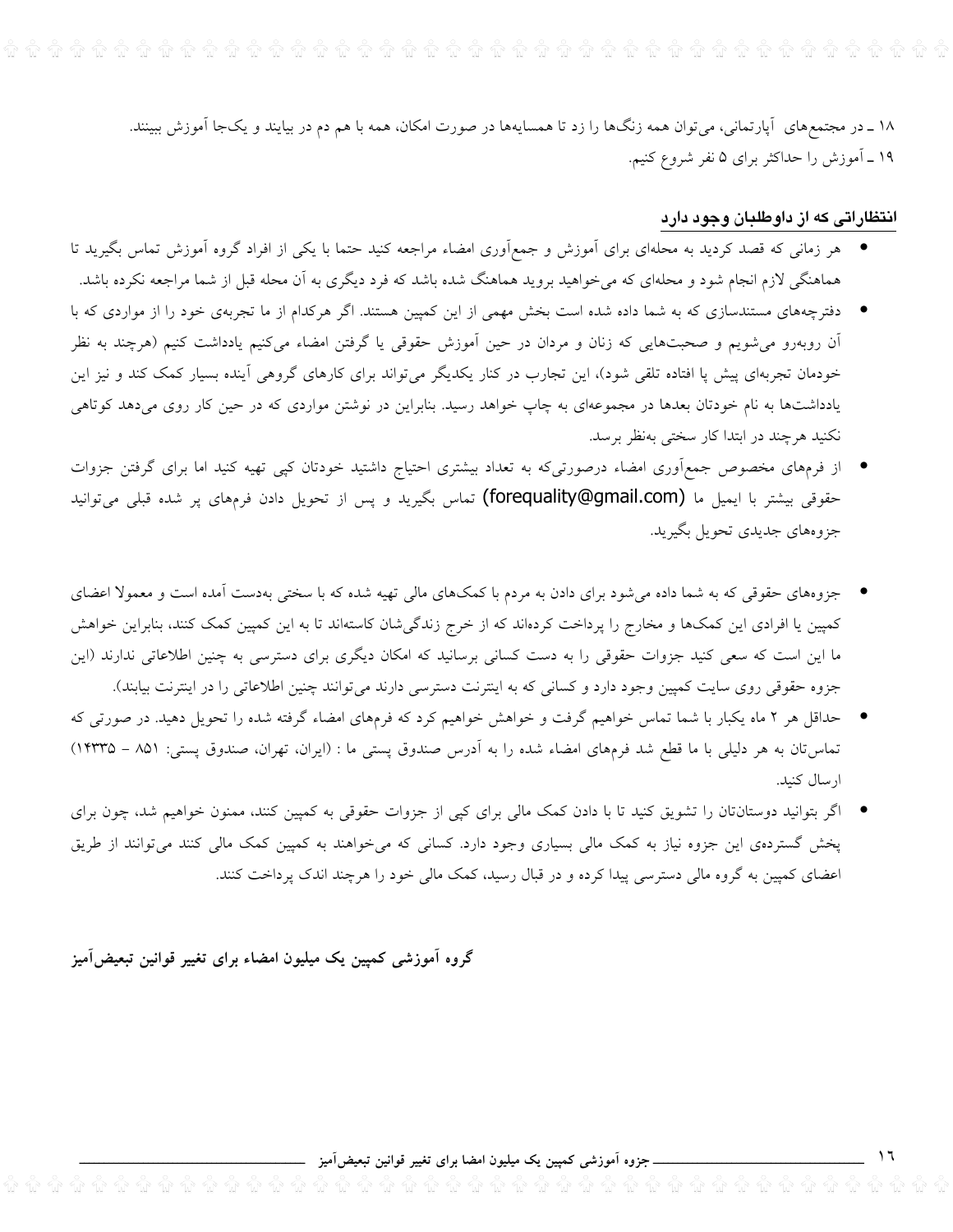۱۸ ــ در مجتمعهای آپارتمانی، میتوان همه زنگها را زد تا همسایهها در صورت امکان، همه با هم دم در بیایند و یکجا آموزش ببینند. ۱۹ ـ آموزش را حداکثر برای ۵ نفر شروع کنیم.

## انتظاراتی که از داوطلبان وجود دارد

- هر زمانی که قصد کردید به محلهای برای اَموزش و جمعاَوری امضاء مراجعه کنید حتما با یکی از افراد گروه اَموزش تماس بگیرید تا هماهنگی لازم انجام شود و محلهای که میخواهید بروید هماهنگ شده باشد که فرد دیگری به آن محله قبل از شما مراجعه نکرده باشد.
- \_ دفترچههای مستندسازی که به شما داده شده است بخش مهمی از این کمپین هستند. اگر هرکدام از ما تجربهی خود را از مواردی که با آن روبهرو میشویم و صحبتهایی که زنان و مردان در حین آموزش حقوقی یا گرفتن امضاء میکنیم یادداشت کنیم (هرچند به نظر خودمان تجربهای پیش پا افتاده تلقی شود)، این تجارب در کنار یکدیگر میتواند برای کارهای گروهی آینده بسیار کمک کند و نیز این یادداشتها به نام خودتان بعدها در مجموعهای به چاپ خواهد رسید. بنابراین در نوشتن مواردی که در حین کار روی میدهد کوتاهی نکنید هرچند در ابتدا کار سختی بهنظر برسد.
- از فرمهای مخصوص جمع|ّوری امضاء درصورتیکه به تعداد بیشتری احتیاج داشتید خودتان کپی تهیه کنید اما برای گرفتن جزوات حقوقی بیشتر با ایمیل ما (forequality@gmail.com) تماس بگیرید و پس از تحویل دادن فرمهای پر شده قبلی می توانید جزوههاي جديدي تحويل بگيريد.

● \_جزوههای حقوقی که به شما داده میشود برای دادن به مردم با کمکهای مالی تهیه شده که با سختی بهدست آمده است و معمولا اعضای کمپین یا افرادی این کمکها و مخارج را پرداخت کردهاند که از خرج زندگیشان کاستهاند تا به این کمپین کمک کنند، بنابراین خواهش ما این است که سعی کنید جزوات حقوقی را به دست کسانی برسانید که امکان دیگری برای دسترسی به چنین اطلاعاتی ندارند (این جزوه حقوقی روی سایت کمپین وجود دارد و کسانی که به اینترنت دسترسی دارند می توانند چنین اطلاعاتی را در اینترنت بیابند).

- حداقل هر ۲ ماه یکبار با شما تماس خواهیم گرفت و خواهش خواهیم کرد که فرمهای امضاء گرفته شده را تحویل دهید. در صورتی که تماستان به هر دلیلی با ما قطع شد فرمهای امضاء شده را به آدرس صندوق پستی ما : (ایران، تهران، صندوق پستی: ۸۵۱ – ۱۴۳۳۵) ارسال كنيد.
- اگر بتوانید دوستانتان را تشویق کنید تا با دادن کمک مالی برای کپی از جزوات حقوقی به کمپین کنند، ممنون خواهیم شد، چون برای پخش گستردهی این جزوه نیاز به کمک مالی بسیاری وجود دارد. کسانی که میخواهند به کمپین کمک مالی کنند میتوانند از طریق اعضای کمپین به گروه مالی دسترسی پیدا کرده و در قبال رسید، کمک مالی خود را هرچند اندک پرداخت کنند.

گروه آموزشی کمپین یک میلیون امضاء برای تغییر قوانین تبعیض آمیز

ـ جزوه آموزشی کمپین یک میلیون امضا برای تغییر قوانین تبعیضآمیز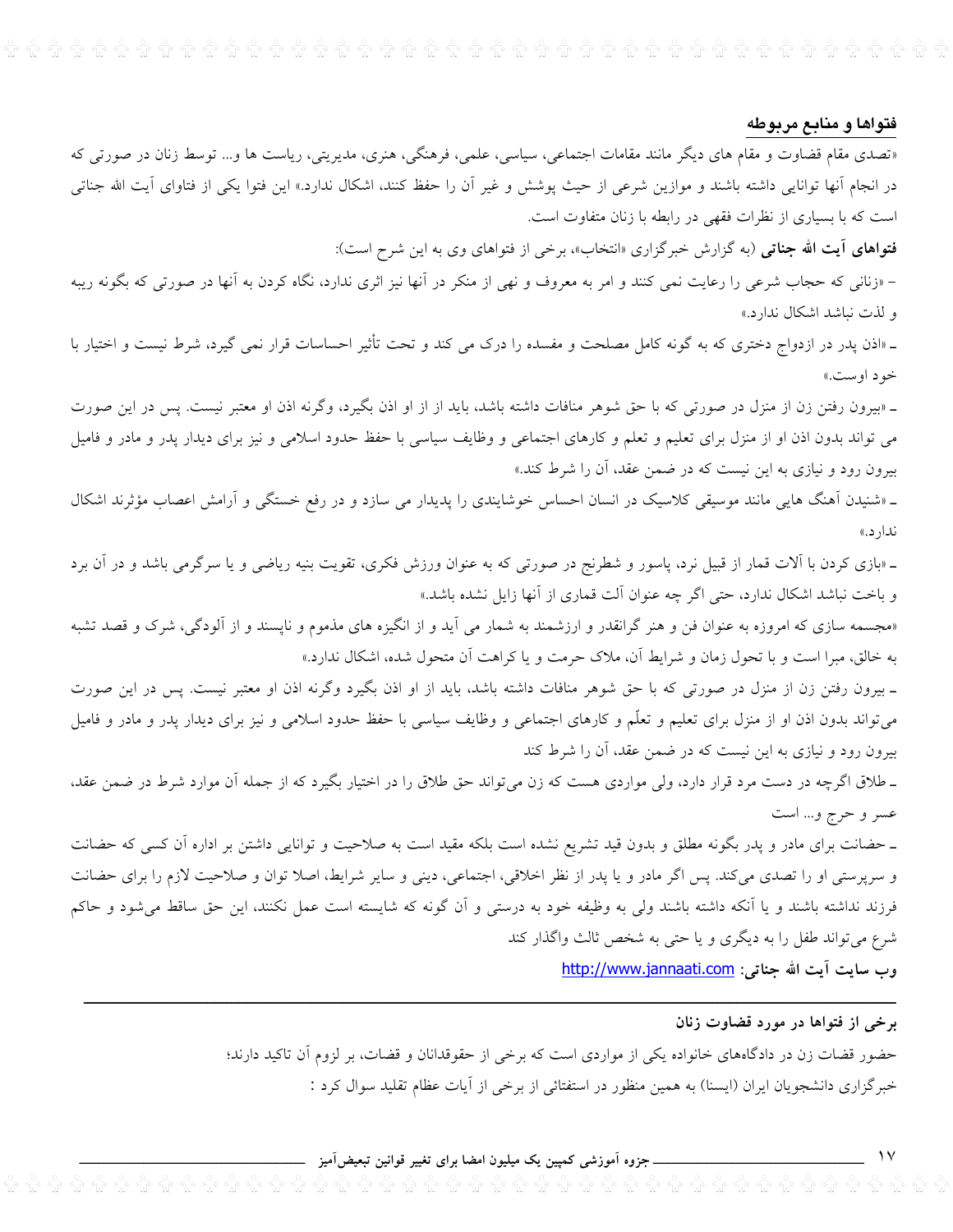$\widehat{\mathfrak{m}}$  .  $\widehat{\mathfrak{m}}$  .  $\widehat{\mathfrak{m}}$  .  $\widehat{\mathfrak{m}}$  .  $\widehat{\mathfrak{m}}$  .  $\widehat{\mathfrak{m}}$  .  $\widehat{\mathfrak{m}}$  .  $\widehat{\mathfrak{m}}$  .  $\widehat{\mathfrak{m}}$  .  $\widehat{\mathfrak{m}}$  .  $\widehat{\mathfrak{m}}$  .  $\widehat{\mathfrak{m}}$  .  $\widehat{\mathfrak{m}}$  .  $\widehat{\mathfrak{m}}$  .  $\widehat{\mathfrak{m}}$ 

#### فتواها و منابع مربوطه

«تصدی مقام قضاوت و مقام های دیگر مانند مقامات اجتماعی، سیاسی، علمی، فرهنگی، هنری، مدیریتی، ریاست ها و... توسط زنان در صورتی که در انجام آنها توانایی داشته باشند و موازین شرعی از حیث پوشش و غیر آن را حفظ کنند، اشکال ندارد.» این فتوا یکی از فتاوای آیت الله جناتی است که با بسیاری از نظرات فقهی در رابطه با زنان متفاوت است.

فتواهای آیت الله جناتی (به گزارش خبرگزاری «انتخاب»، برخی از فتواهای وی به این شرح است):

– «زنانی که حجاب شرعی را رعایت نمی کنند و امر به معروف و نهی از منکر در آنها نیز اثری ندارد، نگاه کردن به آنها در صورتی که بگونه ریبه و لذت نباشد اشكال ندارد.»

ـ «اذن پدر در ازدواج دختری که به گونه کامل مصلحت و مفسده را درک می کند و تحت تأثیر احساسات قرار نمی گیرد، شرط نیست و اختیار با خود اوست.»

ـ «بیرون رفتن زن از منزل در صورتی که با حق شوهر منافات داشته باشد، باید از از او اذن بگیرد، وگرنه اذن او معتبر نیست. پس در این صورت می تواند بدون اذن او از منزل برای تعلیم و تعلم و کارهای اجتماعی و وظایف سیاسی با حفظ حدود اسلامی و نیز برای دیدار پدر و مادر و فامیل بیرون رود و نیازی به این نیست که در ضمن عقد، آن را شرط کند.»

ـ «شنیدن آهنگ هایی مانند موسیقی کلاسیک در انسان احساس خوشایندی را پدیدار می سازد و در رفع خستگی و آرامش اعصاب مؤثرند اشکال ندار د.»

ـ «بازی کردن با آلات قمار از قبیل نرد، پاسور و شطرنج در صورتی که به عنوان ورزش فکری، تقویت بنیه ریاضی و یا سرگرمی باشد و در آن برد و باخت نباشد اشکال ندارد، حتى اگر چه عنوان آلت قمارى از آنها زايل نشده باشد.»

«مجسمه سازی که امروزه به عنوان فن و هنر گرانقدر و ارزشمند به شمار می آید و از انگیزه های مذموم و ناپسند و از آلودگی، شرک و قصد تشبه به خالق، مبرا است و با تحول زمان و شرایط آن، ملاک حرمت و یا کراهت آن متحول شده، اشکال ندارد.»

ـ بیرون رفتن زن از منزل در صورتی که با حق شوهر منافات داشته باشد، باید از او اذن بگیرد وگرنه اذن او معتبر نیست. پس در این صورت میتواند بدون اذن او از منزل برای تعلیم و تعلّم و کارهای اجتماعی و وظایف سیاسی با حفظ حدود اسلامی و نیز برای دیدار پدر و مادر و فامیل بیرون رود و نیازی به این نیست که در ضمن عقد، آن را شرط کند

ـ طلاق اگرچه در دست مرد قرار دارد، ولی مواردی هست که زن میتواند حق طلاق را در اختیار بگیرد که از جمله آن موارد شرط در ضمن عقد، عسر و حرج و... است

ـ حضانت برای مادر و پدر بگونه مطلق و بدون قید تشریع نشده است بلکه مقید است به صلاحیت و توانایی داشتن بر اداره آن کسی که حضانت و سرپرستی او را تصدی میکند. پس اگر مادر و یا پدر از نظر اخلاقی، اجتماعی، دینی و سایر شرایط، اصلا توان و صلاحیت لازم را برای حضانت فرزند نداشته باشند و یا آنکه داشته باشند ولی به وظیفه خود به درستی و آن گونه که شایسته است عمل نکنند، این حق ساقط میشود و حاکم شرع می تواند طفل را به دیگری و یا حتی به شخص ثالث واگذار کند

وب سايت آيت الله جناتي: http://www.jannaati.com

#### برخی از فتواها در مورد قضاوت زنان

حضور قضات زن در دادگاههای خانواده یکی از مواردی است که برخی از حقوقدانان و قضات، بر لزوم آن تاکید دارند؛ خبرگزاری دانشجویان ایران (ایسنا) به همین منظور در استفتائی از برخی از آیات عظام تقلید سوال کرد :

\_ جزوہ آموزشی کمپین یک میلیون امضا برای تغییر قوانین تبعیض**آمیز** <sub>-</sub>

 $\mathcal{N}$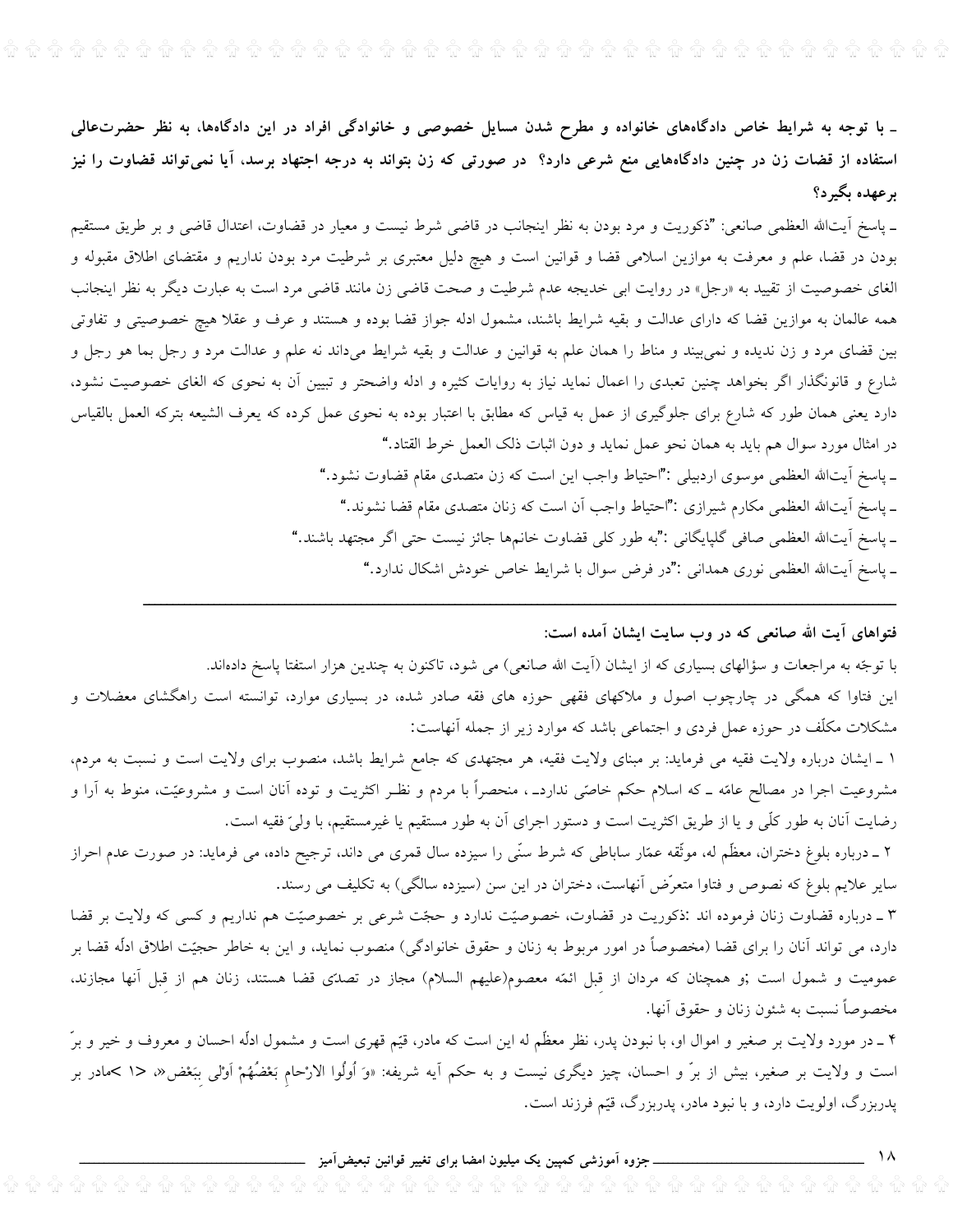$\widehat{\mathfrak{g}}$   $\widehat{\mathfrak{g}}$   $\widehat{\mathfrak{g}}$   $\widehat{\mathfrak{g}}$   $\widehat{\mathfrak{g}}$   $\widehat{\mathfrak{g}}$   $\widehat{\mathfrak{g}}$   $\widehat{\mathfrak{g}}$   $\widehat{\mathfrak{g}}$   $\widehat{\mathfrak{g}}$   $\widehat{\mathfrak{g}}$   $\widehat{\mathfrak{g}}$   $\widehat{\mathfrak{g}}$   $\widehat{\mathfrak{g}}$   $\widehat{\mathfrak{g}}$   $\widehat{\mathfrak{g}}$   $\widehat{\mathfrak{g}}$ 

<sub>–</sub> با توجه به شرایط خاص دادگاههای خانواده و مطرح شدن مسایل خصوصی و خانوادگی افراد در این دادگاهها، به نظر حضرتعالی استفاده از قضات زن در چنین دادگاههایی منع شرعی دارد؟ در صورتی که زن بتواند به درجه اجتهاد برسد، آیا نمیتواند قضاوت را نیز برعهده بگيرد؟

ـ پاسخ آيتالله العظمى صانعي: "ذكوريت و مرد بودن به نظر اينجانب در قاضي شرط نيست و معيار در قضاوت، اعتدال قاضي و بر طريق مستقيم بودن در قضا، علم و معرفت به موازین اسلامی قضا و قوانین است و هیچ دلیل معتبری بر شرطیت مرد بودن نداریم و مقتضای اطلاق مقبوله و الغای خصوصیت از تقیید به «رجل» در روایت ابی خدیجه عدم شرطیت و صحت قاضی زن مانند قاضی مرد است به عبارت دیگر به نظر اینجانب همه عالمان به موازین قضا که دارای عدالت و بقیه شرایط باشند، مشمول ادله جواز قضا بوده و هستند و عوف و عقلا هیچ خصوصیتی و تفاوتی بین قضای مرد و زن ندیده و نمیبیند و مناط را همان علم به قوانین و عدالت و بقیه شرایط میداند نه علم و عدالت مرد و رجل بما هو رجل و شارع و قانونگذار اگر بخواهد چنین تعبدی را اعمال نماید نیاز به روایات کثیره و ادله واضحتر و تبیین آن به نحوی که الغای خصوصیت نشود، دارد یعنی همان طور که شارع برای جلوگیری از عمل به قیاس که مطابق با اعتبار بوده به نحوی عمل کرده که یعرف الشیعه بترکه العمل بالقیاس در امثال مورد سوال هم بايد به همان نحو عمل نمايد و دون اثبات ذلک العمل خرط القتاد." ـ پاسخ اَیتالله العظمی موسوی اردبیلی :"احتیاط واجب این است که زن متصدی مقام قضاوت نشود." ـ پاسخ أيت\لله العظمى مكارم شيرازى :"احتياط واجب أن است كه زنان متصدى مقام قضا نشوند."

ـ پاسخ أيتالله العظمى صافى گلپايگانى :"به طور كلى قضاوت خانمها جائز نيست حتى اگر مجتهد باشند."

\_ پاسخ أيت\لله العظمى نوري همداني :"در فرض سوال با شرايط خاص خودش اشكال ندارد."

فتواهای آیت الله صانعی که در وب سایت ایشان آمده است:

با توجّه به مراجعات و سؤالهای بسیاری که از ایشان (آیت الله صانعی) می شود، تاکنون به چندین هزار استفتا پاسخ دادهاند. این فتاوا که همگی در چارچوب اصول و ملاکهای فقهی حوزه های فقه صادر شده، در بسیاری موارد، توانسته است راهگشای معضلات و مشکلات مکلّف در حوزه عمل فردی و اجتماعی باشد که موارد زیر از جمله آنهاست:

١ \_ ايشان درباره ولايت فقيه مي فرمايد: بر مبناى ولايت فقيه، هر مجتهدى كه جامع شرايط باشد، منصوب براى ولايت است و نسبت به مردم، مشروعیت اجرا در مصالح عامّه ــ که اسلام حکم خاصّی نداردـ ، منحصراً با مردم و نظـر اکثریت و توده آنان است و مشروعیّت، منوط به آرا و رضایت آنان به طور کلّی و یا از طریق اکثریت است و دستور اجرای آن به طور مستقیم یا غیرمستقیم، با ولیّ فقیه است.

۲ ــ درباره بلوغ دختران، معظّم له، موثّقه عمّار ساباطی که شرط سنّی را سیزده سال قمری می داند، ترجیح داده، می فرماید: در صورت عدم احراز سایر علایم بلوغ که نصوص و فتاوا متعرَّض آنهاست، دختران در این سن (سیزده سالگی) به تکلیف می رسند.

۳ ـ درباره قضاوت زنان فرموده اند :ذكوريت در قضاوت، خصوصيّت ندارد و حجّت شرعي بر خصوصيّت هم نداريم و كسي كه ولايت بر قضا دارد، می تواند آنان را برای قضا (مخصوصاً در امور مربوط به زنان و حقوق خانوادگی) منصوب نماید، و این به خاطر حجیّت اطلاق ادلّه قضا بر عمومیت و شمول است ;و همچنان که مردان از قبل ائمّه معصوم(علیهم السلام) مجاز در تصدّی قضا هستند، زنان هم از قبل آنها مجازند، مخصوصاً نسبت به شئون زنان و حقوق آنها.

۴ ـ در مورد ولایت بر صغیر و اموال او، با نبودن پدر، نظر معظّم له این است که مادر، قیّم قهری است و مشمول ادلّه احسان و معروف و خیر و برّ است و ولایت بر صغیر، بیش از برّ و احسان، چیز دیگری نیست و به حکم آیه شریفه: «وَ اُولُوا الارْحام بَعْضُهُمْ اَوْلی بِبَعْض« <١ كمادر بر پدربزرگ، اولویت دارد، و با نبود مادر، پدربزرگ، قیّم فرزند است.

\_ جزوہ اَموزشی کمپین یک میلیون امضا برای تغییر قوانین تبعیض<mark>اَمیز</mark>